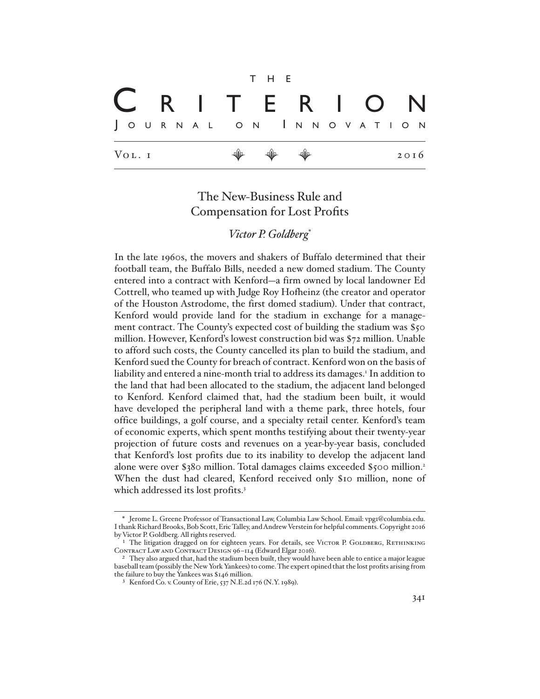|                       |  |  |  |  |  |                       |  | T H E                                                                |  |  |  |  |  |  |  |      |  |
|-----------------------|--|--|--|--|--|-----------------------|--|----------------------------------------------------------------------|--|--|--|--|--|--|--|------|--|
| C R I T E R I O N     |  |  |  |  |  |                       |  |                                                                      |  |  |  |  |  |  |  |      |  |
|                       |  |  |  |  |  | JOURNAL ON INNOVATION |  |                                                                      |  |  |  |  |  |  |  |      |  |
| $V_{\text{OL}}$ . $I$ |  |  |  |  |  |                       |  | $\begin{array}{ccccccccccccc} \psi & \psi & \psi & \psi \end{array}$ |  |  |  |  |  |  |  | 2016 |  |

# The New-Business Rule and Compensation for Lost Profits

# *Victor P. Goldberg*\*

In the late 1960s, the movers and shakers of Buffalo determined that their football team, the Buffalo Bills, needed a new domed stadium. The County entered into a contract with Kenford—a firm owned by local landowner Ed Cottrell, who teamed up with Judge Roy Hofheinz (the creator and operator of the Houston Astrodome, the first domed stadium). Under that contract, Kenford would provide land for the stadium in exchange for a management contract. The County's expected cost of building the stadium was \$50 million. However, Kenford's lowest construction bid was \$72 million. Unable to afford such costs, the County cancelled its plan to build the stadium, and Kenford sued the County for breach of contract. Kenford won on the basis of liability and entered a nine-month trial to address its damages.<sup>1</sup> In addition to the land that had been allocated to the stadium, the adjacent land belonged to Kenford. Kenford claimed that, had the stadium been built, it would have developed the peripheral land with a theme park, three hotels, four office buildings, a golf course, and a specialty retail center. Kenford's team of economic experts, which spent months testifying about their twenty-year projection of future costs and revenues on a year-by-year basis, concluded that Kenford's lost profits due to its inability to develop the adjacent land alone were over \$380 million. Total damages claims exceeded \$500 million.2 When the dust had cleared, Kenford received only \$10 million, none of which addressed its lost profits.<sup>3</sup>

<sup>\*</sup> Jerome L. Greene Professor of Transactional Law, Columbia Law School. Email: vpg1@columbia.edu. I thank Richard Brooks, Bob Scott, Eric Talley, and Andrew Verstein for helpful comments. Copyright 2016 by Victor P. Goldberg. All rights reserved.

<sup>&</sup>lt;sup>1</sup> The litigation dragged on for eighteen years. For details, see VICTOR P. GOLDBERG, RETHINKING CONTRACT LAW AND CONTRACT DESIGN 96-114 (Edward Elgar 2016).

<sup>&</sup>lt;sup>2</sup> They also argued that, had the stadium been built, they would have been able to entice a major league baseball team (possibly the New York Yankees) to come. The expert opined that the lost profits arising from the failure to buy the Yankees was \$146 million.

<sup>3</sup> Kenford Co. v. County of Erie, 537 N.E.2d 176 (N.Y. 1989).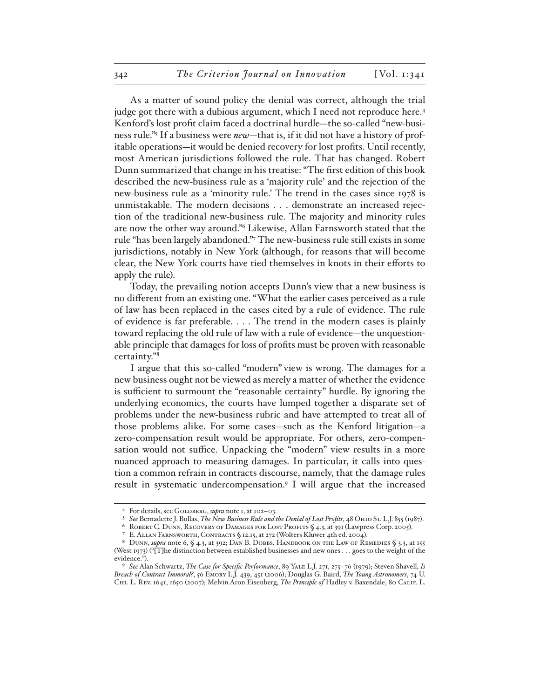As a matter of sound policy the denial was correct, although the trial judge got there with a dubious argument, which I need not reproduce here.<sup>4</sup> Kenford's lost profit claim faced a doctrinal hurdle—the so-called "new-business rule."5 If a business were *new*—that is, if it did not have a history of profitable operations—it would be denied recovery for lost profits. Until recently, most American jurisdictions followed the rule. That has changed. Robert Dunn summarized that change in his treatise: "The first edition of this book described the new-business rule as a 'majority rule' and the rejection of the new-business rule as a 'minority rule.' The trend in the cases since 1978 is unmistakable. The modern decisions . . . demonstrate an increased rejection of the traditional new-business rule. The majority and minority rules are now the other way around."6 Likewise, Allan Farnsworth stated that the rule "has been largely abandoned."7 The new-business rule still exists in some jurisdictions, notably in New York (although, for reasons that will become clear, the New York courts have tied themselves in knots in their efforts to apply the rule).

Today, the prevailing notion accepts Dunn's view that a new business is no different from an existing one. "What the earlier cases perceived as a rule of law has been replaced in the cases cited by a rule of evidence. The rule of evidence is far preferable. . . . The trend in the modern cases is plainly toward replacing the old rule of law with a rule of evidence—the unquestionable principle that damages for loss of profits must be proven with reasonable certainty."8

I argue that this so-called "modern" view is wrong. The damages for a new business ought not be viewed as merely a matter of whether the evidence is sufficient to surmount the "reasonable certainty" hurdle. By ignoring the underlying economics, the courts have lumped together a disparate set of problems under the new-business rubric and have attempted to treat all of those problems alike. For some cases—such as the Kenford litigation—a zero-compensation result would be appropriate. For others, zero-compensation would not suffice. Unpacking the "modern" view results in a more nuanced approach to measuring damages. In particular, it calls into question a common refrain in contracts discourse, namely, that the damage rules result in systematic undercompensation.9 I will argue that the increased

<sup>4</sup> For details, see GOLDBERG, *supra* note 1, at 102–03.<br>5 See Bernadette I Bollas *The Nege Business Rule and t* 

<sup>5</sup> *See* Bernadette J. Bollas, *The New Business Rule and the Denial of Lost Profits*, 48 Ohio St. L.J. 855 (1987).

ROBERT C. DUNN, RECOVERY OF DAMAGES FOR LOST PROFITS § 4.3, at 391 (Lawpress Corp. 2005).

<sup>7</sup> E. Allan Farnsworth, Contracts § 12.15, at 272 (Wolters Kluwer 4th ed. 2004).

<sup>8</sup> Dunn, *supra* note 6, § 4.3, at 392; DAN B. DOBBS, HANDBOOK ON THE LAW OF REMEDIES § 3.3, at 155 (West 1973) ("[T]he distinction between established businesses and new ones . . . goes to the weight of the evidence.").

<sup>9</sup> *See* Alan Schwartz, *The Case for Specific Performance*, 89 Yale L.J. 271, 275–76 (1979); Steven Shavell, *Is Breach of Contract Immoral?*, 56 Emory L.J. 439, 451 (2006); Douglas G. Baird, *The Young Astronomers*, 74 U. Chi. L. Rev. 1641, 1650 (2007); Melvin Aron Eisenberg, *The Principle of* Hadley v. Baxendale, 80 Calif. L.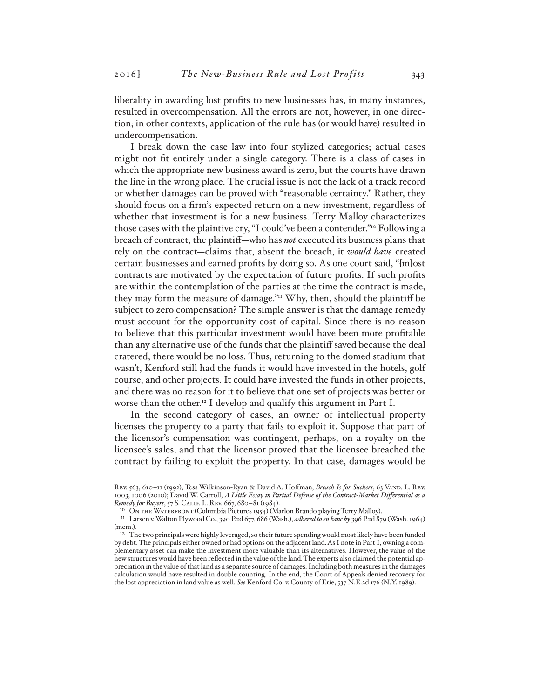liberality in awarding lost profits to new businesses has, in many instances, resulted in overcompensation. All the errors are not, however, in one direction; in other contexts, application of the rule has (or would have) resulted in undercompensation.

I break down the case law into four stylized categories; actual cases might not fit entirely under a single category. There is a class of cases in which the appropriate new business award is zero, but the courts have drawn the line in the wrong place. The crucial issue is not the lack of a track record or whether damages can be proved with "reasonable certainty." Rather, they should focus on a firm's expected return on a new investment, regardless of whether that investment is for a new business. Terry Malloy characterizes those cases with the plaintive cry, "I could've been a contender."10 Following a breach of contract, the plaintiff—who has *not* executed its business plans that rely on the contract—claims that, absent the breach, it *would have* created certain businesses and earned profits by doing so. As one court said, "[m]ost contracts are motivated by the expectation of future profits. If such profits are within the contemplation of the parties at the time the contract is made, they may form the measure of damage."<sup>11</sup> Why, then, should the plaintiff be subject to zero compensation? The simple answer is that the damage remedy must account for the opportunity cost of capital. Since there is no reason to believe that this particular investment would have been more profitable than any alternative use of the funds that the plaintiff saved because the deal cratered, there would be no loss. Thus, returning to the domed stadium that wasn't, Kenford still had the funds it would have invested in the hotels, golf course, and other projects. It could have invested the funds in other projects, and there was no reason for it to believe that one set of projects was better or worse than the other.<sup>12</sup> I develop and qualify this argument in Part I.

In the second category of cases, an owner of intellectual property licenses the property to a party that fails to exploit it. Suppose that part of the licensor's compensation was contingent, perhaps, on a royalty on the licensee's sales, and that the licensor proved that the licensee breached the contract by failing to exploit the property. In that case, damages would be

Rev. 563, 610–11 (1992); Tess Wilkinson-Ryan & David A. Hoffman, *Breach Is for Suckers*, 63 Vand. L. Rev. 1003, 1006 (2010); David W. Carroll, *A Little Essay in Partial Defense of the Contract-Market Differential as a Remedy for Buyers*, 57 S. Calif. L. Rev. 667, 680–81 (1984).

<sup>&</sup>lt;sup>10</sup> ON THE WATERFRONT (Columbia Pictures 1954) (Marlon Brando playing Terry Malloy).

<sup>11</sup> Larsen v. Walton Plywood Co., 390 P.2d 677, 686 (Wash.), *adhered to en banc by* 396 P.2d 879 (Wash. 1964) (mem.).

<sup>&</sup>lt;sup>12</sup> The two principals were highly leveraged, so their future spending would most likely have been funded by debt. The principals either owned or had options on the adjacent land. As I note in Part I, owning a complementary asset can make the investment more valuable than its alternatives. However, the value of the new structures would have been reflected in the value of the land. The experts also claimed the potential appreciation in the value of that land as a separate source of damages. Including both measures in the damages calculation would have resulted in double counting. In the end, the Court of Appeals denied recovery for the lost appreciation in land value as well. *See* Kenford Co. v. County of Erie, 537 N.E.2d 176 (N.Y. 1989).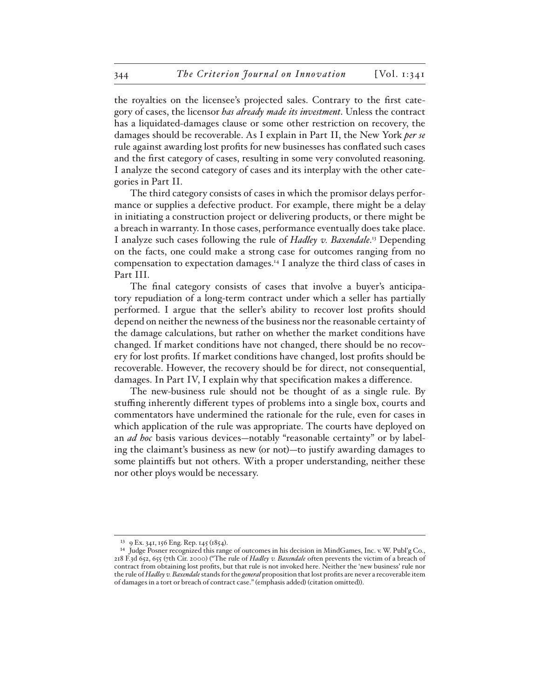the royalties on the licensee's projected sales. Contrary to the first category of cases, the licensor *has already made its investment*. Unless the contract has a liquidated-damages clause or some other restriction on recovery, the damages should be recoverable. As I explain in Part II, the New York *per se* rule against awarding lost profits for new businesses has conflated such cases and the first category of cases, resulting in some very convoluted reasoning. I analyze the second category of cases and its interplay with the other categories in Part II.

The third category consists of cases in which the promisor delays performance or supplies a defective product. For example, there might be a delay in initiating a construction project or delivering products, or there might be a breach in warranty. In those cases, performance eventually does take place. I analyze such cases following the rule of *Hadley v. Baxendale*. 13 Depending on the facts, one could make a strong case for outcomes ranging from no compensation to expectation damages.14 I analyze the third class of cases in Part III.

The final category consists of cases that involve a buyer's anticipatory repudiation of a long-term contract under which a seller has partially performed. I argue that the seller's ability to recover lost profits should depend on neither the newness of the business nor the reasonable certainty of the damage calculations, but rather on whether the market conditions have changed. If market conditions have not changed, there should be no recovery for lost profits. If market conditions have changed, lost profits should be recoverable. However, the recovery should be for direct, not consequential, damages. In Part IV, I explain why that specification makes a difference.

The new-business rule should not be thought of as a single rule. By stuffing inherently different types of problems into a single box, courts and commentators have undermined the rationale for the rule, even for cases in which application of the rule was appropriate. The courts have deployed on an *ad hoc* basis various devices—notably "reasonable certainty" or by labeling the claimant's business as new (or not)—to justify awarding damages to some plaintiffs but not others. With a proper understanding, neither these nor other ploys would be necessary.

<sup>13</sup> 9 Ex. 341, 156 Eng. Rep. 145 (1854).

<sup>14</sup> Judge Posner recognized this range of outcomes in his decision in MindGames, Inc. v. W. Publ'g Co., 218 F.3d 652, 655 (7th Cir. 2000) ("The rule of *Hadley v. Baxendale* often prevents the victim of a breach of contract from obtaining lost profits, but that rule is not invoked here. Neither the 'new business' rule nor the rule of *Hadley v. Baxendale* stands for the *general* proposition that lost profits are never a recoverable item of damages in a tort or breach of contract case." (emphasis added) (citation omitted)).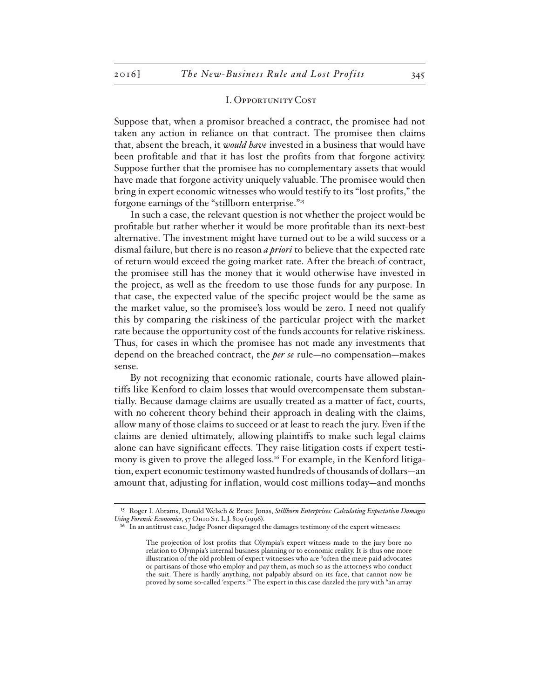#### I. Opportunity Cost

Suppose that, when a promisor breached a contract, the promisee had not taken any action in reliance on that contract. The promisee then claims that, absent the breach, it *would have* invested in a business that would have been profitable and that it has lost the profits from that forgone activity. Suppose further that the promisee has no complementary assets that would have made that forgone activity uniquely valuable. The promisee would then bring in expert economic witnesses who would testify to its "lost profits," the forgone earnings of the "stillborn enterprise."15

In such a case, the relevant question is not whether the project would be profitable but rather whether it would be more profitable than its next-best alternative. The investment might have turned out to be a wild success or a dismal failure, but there is no reason *a priori* to believe that the expected rate of return would exceed the going market rate. After the breach of contract, the promisee still has the money that it would otherwise have invested in the project, as well as the freedom to use those funds for any purpose. In that case, the expected value of the specific project would be the same as the market value, so the promisee's loss would be zero. I need not qualify this by comparing the riskiness of the particular project with the market rate because the opportunity cost of the funds accounts for relative riskiness. Thus, for cases in which the promisee has not made any investments that depend on the breached contract, the *per se* rule—no compensation—makes sense.

By not recognizing that economic rationale, courts have allowed plaintiffs like Kenford to claim losses that would overcompensate them substantially. Because damage claims are usually treated as a matter of fact, courts, with no coherent theory behind their approach in dealing with the claims, allow many of those claims to succeed or at least to reach the jury. Even if the claims are denied ultimately, allowing plaintiffs to make such legal claims alone can have significant effects. They raise litigation costs if expert testimony is given to prove the alleged loss.<sup>16</sup> For example, in the Kenford litigation, expert economic testimony wasted hundreds of thousands of dollars—an amount that, adjusting for inflation, would cost millions today—and months

<sup>15</sup> Roger I. Abrams, Donald Welsch & Bruce Jonas, *Stillborn Enterprises: Calculating Expectation Damages Using Forensic Economics*, 57 Ohio St. L.J. 809 (1996).

 $^{16}$  In an antitrust case, Judge Posner disparaged the damages testimony of the expert witnesses:

The projection of lost profits that Olympia's expert witness made to the jury bore no relation to Olympia's internal business planning or to economic reality. It is thus one more illustration of the old problem of expert witnesses who are "often the mere paid advocates or partisans of those who employ and pay them, as much so as the attorneys who conduct the suit. There is hardly anything, not palpably absurd on its face, that cannot now be proved by some so-called 'experts.'" The expert in this case dazzled the jury with "an array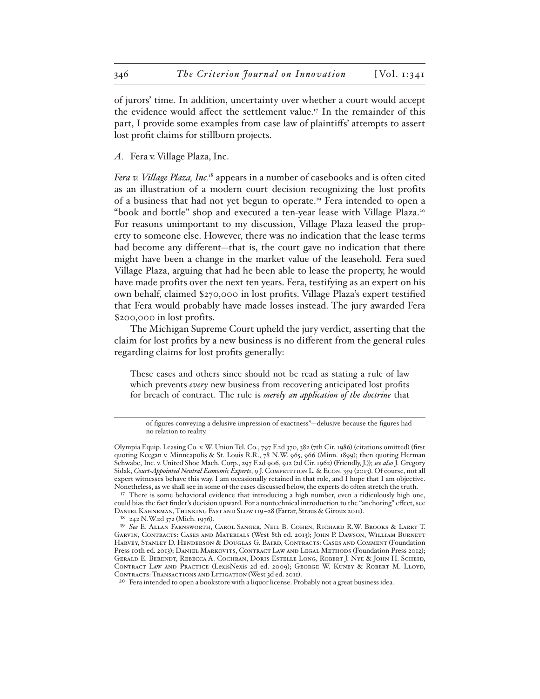of jurors' time. In addition, uncertainty over whether a court would accept the evidence would affect the settlement value.<sup>17</sup> In the remainder of this part, I provide some examples from case law of plaintiffs' attempts to assert lost profit claims for stillborn projects.

*A.* Fera v. Village Plaza, Inc.

*Fera v. Village Plaza, Inc.*18 appears in a number of casebooks and is often cited as an illustration of a modern court decision recognizing the lost profits of a business that had not yet begun to operate.19 Fera intended to open a "book and bottle" shop and executed a ten-year lease with Village Plaza.20 For reasons unimportant to my discussion, Village Plaza leased the property to someone else. However, there was no indication that the lease terms had become any different—that is, the court gave no indication that there might have been a change in the market value of the leasehold. Fera sued Village Plaza, arguing that had he been able to lease the property, he would have made profits over the next ten years. Fera, testifying as an expert on his own behalf, claimed \$270,000 in lost profits. Village Plaza's expert testified that Fera would probably have made losses instead. The jury awarded Fera \$200,000 in lost profits.

The Michigan Supreme Court upheld the jury verdict, asserting that the claim for lost profits by a new business is no different from the general rules regarding claims for lost profits generally:

These cases and others since should not be read as stating a rule of law which prevents *every* new business from recovering anticipated lost profits for breach of contract. The rule is *merely an application of the doctrine* that

of figures conveying a delusive impression of exactness"—delusive because the figures had no relation to reality.

Olympia Equip. Leasing Co. v. W. Union Tel. Co., 797 F.2d 370, 382 (7th Cir. 1986) (citations omitted) (first quoting Keegan v. Minneapolis & St. Louis R.R., 78 N.W. 965, 966 (Minn. 1899); then quoting Herman Schwabe, Inc. v. United Shoe Mach. Corp., 297 F.2d 906, 912 (2d Cir. 1962) (Friendly, J.)); *see also* J. Gregory Sidak, *Court-Appointed Neutral Economic Experts*, 9 J. Competition L. & Econ. 359 (2013). Of course, not all expert witnesses behave this way. I am occasionally retained in that role, and I hope that I am objective. Nonetheless, as we shall see in some of the cases discussed below, the experts do often stretch the truth.

<sup>&</sup>lt;sup>17</sup> There is some behavioral evidence that introducing a high number, even a ridiculously high one, could bias the fact finder's decision upward. For a nontechnical introduction to the "anchoring" effect, see Daniel Kahneman, Thinking Fast and Slow 119–28 (Farrar, Straus & Giroux 2011).

<sup>18</sup> 242 N.W.2d 372 (Mich. 1976).

<sup>19</sup> *See* E. Allan Farnsworth, Carol Sanger, Neil B. Cohen, Richard R.W. Brooks & Larry T. Garvin, Contracts: Cases and Materials (West 8th ed. 2013); John P. Dawson, William Burnett Harvey, Stanley D. Henderson & Douglas G. Baird, Contracts: Cases and Comment (Foundation Press 10th ed. 2013); DANIEL MARKOVITS, CONTRACT LAW AND LEGAL METHODS (Foundation Press 2012); Gerald E. Berendt, Rebecca A. Cochran, Doris Estelle Long, Robert J. Nye & John H. Scheid, Contract Law and Practice (LexisNexis 2d ed. 2009); George W. Kuney & Robert M. Lloyd, CONTRACTS: TRANSACTIONS AND LITIGATION (West 3d ed. 2011).

<sup>20</sup> Fera intended to open a bookstore with a liquor license. Probably not a great business idea.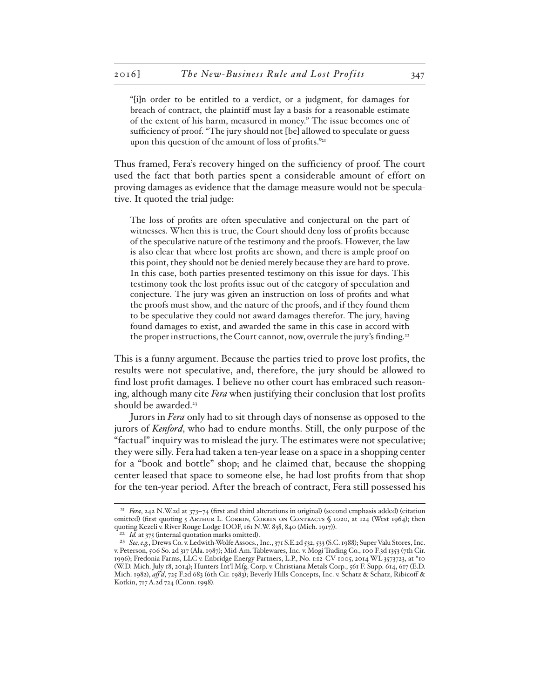"[i]n order to be entitled to a verdict, or a judgment, for damages for breach of contract, the plaintiff must lay a basis for a reasonable estimate of the extent of his harm, measured in money." The issue becomes one of sufficiency of proof. "The jury should not [be] allowed to speculate or guess upon this question of the amount of loss of profits."<sup>21</sup>

Thus framed, Fera's recovery hinged on the sufficiency of proof. The court used the fact that both parties spent a considerable amount of effort on proving damages as evidence that the damage measure would not be speculative. It quoted the trial judge:

The loss of profits are often speculative and conjectural on the part of witnesses. When this is true, the Court should deny loss of profits because of the speculative nature of the testimony and the proofs. However, the law is also clear that where lost profits are shown, and there is ample proof on this point, they should not be denied merely because they are hard to prove. In this case, both parties presented testimony on this issue for days. This testimony took the lost profits issue out of the category of speculation and conjecture. The jury was given an instruction on loss of profits and what the proofs must show, and the nature of the proofs, and if they found them to be speculative they could not award damages therefor. The jury, having found damages to exist, and awarded the same in this case in accord with the proper instructions, the Court cannot, now, overrule the jury's finding.<sup>22</sup>

This is a funny argument. Because the parties tried to prove lost profits, the results were not speculative, and, therefore, the jury should be allowed to find lost profit damages. I believe no other court has embraced such reasoning, although many cite *Fera* when justifying their conclusion that lost profits should be awarded.<sup>23</sup>

Jurors in *Fera* only had to sit through days of nonsense as opposed to the jurors of *Kenford*, who had to endure months. Still, the only purpose of the "factual" inquiry was to mislead the jury. The estimates were not speculative; they were silly. Fera had taken a ten-year lease on a space in a shopping center for a "book and bottle" shop; and he claimed that, because the shopping center leased that space to someone else, he had lost profits from that shop for the ten-year period. After the breach of contract, Fera still possessed his

<sup>21</sup> *Fera*, 242 N.W.2d at 373–74 (first and third alterations in original) (second emphasis added) (citation omitted) (first quoting 5 ARTHUR L. CORBIN, CORBIN ON CONTRACTS § 1020, at 124 (West 1964); then quoting Kezeli v. River Rouge Lodge IOOF, 161 N.W. 838, 840 (Mich. 1917)).

<sup>22</sup> *Id.* at 375 (internal quotation marks omitted).

<sup>23</sup> *See, e.g.*, Drews Co. v. Ledwith-Wolfe Assocs., Inc., 371 S.E.2d 532, 533 (S.C. 1988); Super Valu Stores, Inc. v. Peterson, 506 So. 2d 317 (Ala. 1987); Mid-Am. Tablewares, Inc. v. Mogi Trading Co., 100 F.3d 1353 (7th Cir. 1996); Fredonia Farms, LLC v. Enbridge Energy Partners, L.P., No. 1:12-CV-1005, 2014 WL 3573723, at \*10 (W.D. Mich. July 18, 2014); Hunters Int'l Mfg. Corp. v. Christiana Metals Corp., 561 F. Supp. 614, 617 (E.D. Mich. 1982), *aff 'd*, 725 F.2d 683 (6th Cir. 1983); Beverly Hills Concepts, Inc. v. Schatz & Schatz, Ribicoff & Kotkin, 717 A.2d 724 (Conn. 1998).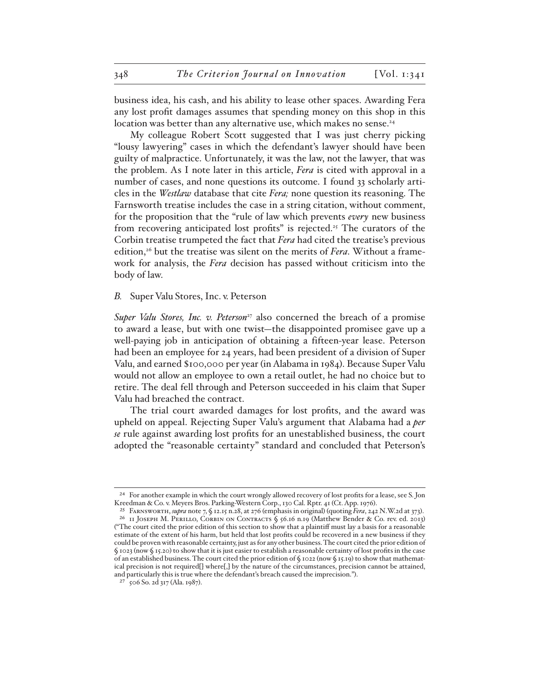business idea, his cash, and his ability to lease other spaces. Awarding Fera any lost profit damages assumes that spending money on this shop in this location was better than any alternative use, which makes no sense.<sup>24</sup>

My colleague Robert Scott suggested that I was just cherry picking "lousy lawyering" cases in which the defendant's lawyer should have been guilty of malpractice. Unfortunately, it was the law, not the lawyer, that was the problem. As I note later in this article, *Fera* is cited with approval in a number of cases, and none questions its outcome. I found 33 scholarly articles in the *Westlaw* database that cite *Fera;* none question its reasoning. The Farnsworth treatise includes the case in a string citation, without comment, for the proposition that the "rule of law which prevents *every* new business from recovering anticipated lost profits" is rejected.<sup>25</sup> The curators of the Corbin treatise trumpeted the fact that *Fera* had cited the treatise's previous edition,<sup>26</sup> but the treatise was silent on the merits of *Fera*. Without a framework for analysis, the *Fera* decision has passed without criticism into the body of law.

## *B.* Super Valu Stores, Inc. v. Peterson

*Super Valu Stores, Inc. v. Peterson*<sup>27</sup> also concerned the breach of a promise to award a lease, but with one twist—the disappointed promisee gave up a well-paying job in anticipation of obtaining a fifteen-year lease. Peterson had been an employee for 24 years, had been president of a division of Super Valu, and earned \$100,000 per year (in Alabama in 1984). Because Super Valu would not allow an employee to own a retail outlet, he had no choice but to retire. The deal fell through and Peterson succeeded in his claim that Super Valu had breached the contract.

The trial court awarded damages for lost profits, and the award was upheld on appeal. Rejecting Super Valu's argument that Alabama had a *per se* rule against awarding lost profits for an unestablished business, the court adopted the "reasonable certainty" standard and concluded that Peterson's

<sup>24</sup> For another example in which the court wrongly allowed recovery of lost profits for a lease, see S. Jon Kreedman & Co. v. Meyers Bros. Parking-Western Corp., 130 Cal. Rptr. 41 (Ct. App. 1976).

<sup>25</sup> Farnsworth, *supra* note 7, § 12.15 n.28, at 276 (emphasis in original) (quoting *Fera*, 242 N.W.2d at 373). <sup>26</sup> II JOSEPH M. PERILLO, CORBIN ON CONTRACTS § 56.16 n.19 (Matthew Bender & Co. rev. ed. 2013) ("The court cited the prior edition of this section to show that a plaintiff must lay a basis for a reasonable estimate of the extent of his harm, but held that lost profits could be recovered in a new business if they could be proven with reasonable certainty, just as for any other business. The court cited the prior edition of § 1023 (now § 15.20) to show that it is just easier to establish a reasonable certainty of lost profits in the case of an established business. The court cited the prior edition of § 1022 (now § 15.19) to show that mathematical precision is not required[] where[,] by the nature of the circumstances, precision cannot be attained, and particularly this is true where the defendant's breach caused the imprecision.").

<sup>27</sup> 506 So. 2d 317 (Ala. 1987).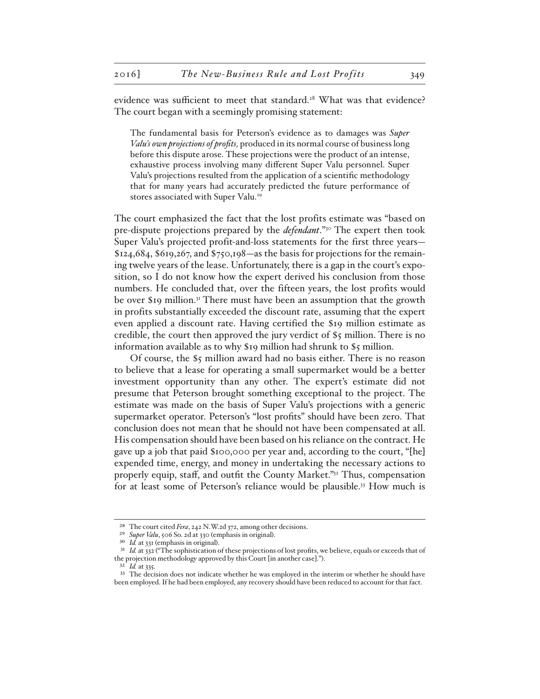evidence was sufficient to meet that standard.<sup>28</sup> What was that evidence? The court began with a seemingly promising statement:

The fundamental basis for Peterson's evidence as to damages was *Super Valu's own projections of profits,* produced in its normal course of business long before this dispute arose. These projections were the product of an intense, exhaustive process involving many different Super Valu personnel. Super Valu's projections resulted from the application of a scientific methodology that for many years had accurately predicted the future performance of stores associated with Super Valu.<sup>29</sup>

The court emphasized the fact that the lost profits estimate was "based on pre-dispute projections prepared by the *defendant*."30 The expert then took Super Valu's projected profit-and-loss statements for the first three years— \$124,684, \$619,267, and \$750,198—as the basis for projections for the remaining twelve years of the lease. Unfortunately, there is a gap in the court's exposition, so I do not know how the expert derived his conclusion from those numbers. He concluded that, over the fifteen years, the lost profits would be over \$19 million.<sup>31</sup> There must have been an assumption that the growth in profits substantially exceeded the discount rate, assuming that the expert even applied a discount rate. Having certified the \$19 million estimate as credible, the court then approved the jury verdict of \$5 million. There is no information available as to why \$19 million had shrunk to \$5 million.

Of course, the \$5 million award had no basis either. There is no reason to believe that a lease for operating a small supermarket would be a better investment opportunity than any other. The expert's estimate did not presume that Peterson brought something exceptional to the project. The estimate was made on the basis of Super Valu's projections with a generic supermarket operator. Peterson's "lost profits" should have been zero. That conclusion does not mean that he should not have been compensated at all. His compensation should have been based on his reliance on the contract. He gave up a job that paid \$100,000 per year and, according to the court, "[he] expended time, energy, and money in undertaking the necessary actions to properly equip, staff, and outfit the County Market."<sup>32</sup> Thus, compensation for at least some of Peterson's reliance would be plausible.33 How much is

<sup>28</sup> The court cited *Fera*, 242 N.W.2d 372, among other decisions.

<sup>29</sup> *Super Valu*, 506 So. 2d at 330 (emphasis in original).

<sup>30</sup> *Id.* at 331 (emphasis in original).

<sup>&</sup>lt;sup>31</sup> *Id.* at 332 ("The sophistication of these projections of lost profits, we believe, equals or exceeds that of the projection methodology approved by this Court [in another case].").

<sup>32</sup> *Id.* at 335.

<sup>&</sup>lt;sup>33</sup> The decision does not indicate whether he was employed in the interim or whether he should have been employed. If he had been employed, any recovery should have been reduced to account for that fact.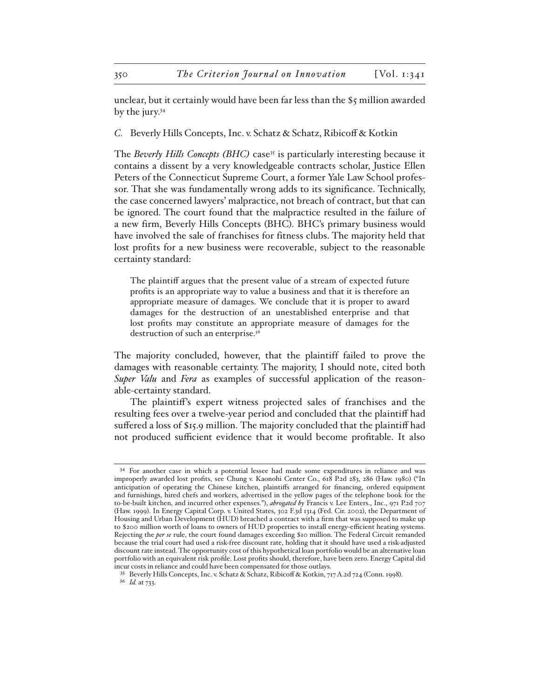unclear, but it certainly would have been far less than the \$5 million awarded by the jury.34

*C.* Beverly Hills Concepts, Inc. v. Schatz & Schatz, Ribicoff & Kotkin

The *Beverly Hills Concepts (BHC)* case<sup>35</sup> is particularly interesting because it contains a dissent by a very knowledgeable contracts scholar, Justice Ellen Peters of the Connecticut Supreme Court, a former Yale Law School professor. That she was fundamentally wrong adds to its significance. Technically, the case concerned lawyers' malpractice, not breach of contract, but that can be ignored. The court found that the malpractice resulted in the failure of a new firm, Beverly Hills Concepts (BHC). BHC's primary business would have involved the sale of franchises for fitness clubs. The majority held that lost profits for a new business were recoverable, subject to the reasonable certainty standard:

The plaintiff argues that the present value of a stream of expected future profits is an appropriate way to value a business and that it is therefore an appropriate measure of damages. We conclude that it is proper to award damages for the destruction of an unestablished enterprise and that lost profits may constitute an appropriate measure of damages for the destruction of such an enterprise.<sup>36</sup>

The majority concluded, however, that the plaintiff failed to prove the damages with reasonable certainty. The majority, I should note, cited both *Super Valu* and *Fera* as examples of successful application of the reasonable-certainty standard.

The plaintiff's expert witness projected sales of franchises and the resulting fees over a twelve-year period and concluded that the plaintiff had suffered a loss of \$15.9 million. The majority concluded that the plaintiff had not produced sufficient evidence that it would become profitable. It also

<sup>34</sup> For another case in which a potential lessee had made some expenditures in reliance and was improperly awarded lost profits, see Chung v. Kaonohi Center Co., 618 P.2d 283, 286 (Haw. 1980) ("In anticipation of operating the Chinese kitchen, plaintiffs arranged for financing, ordered equipment and furnishings, hired chefs and workers, advertised in the yellow pages of the telephone book for the to-be-built kitchen, and incurred other expenses."), *abrogated by* Francis v. Lee Enters., Inc., 971 P.2d 707 (Haw. 1999). In Energy Capital Corp. v. United States, 302 F.3d 1314 (Fed. Cir. 2002), the Department of Housing and Urban Development (HUD) breached a contract with a firm that was supposed to make up to \$200 million worth of loans to owners of HUD properties to install energy-efficient heating systems. Rejecting the *per se* rule, the court found damages exceeding \$10 million. The Federal Circuit remanded because the trial court had used a risk-free discount rate, holding that it should have used a risk-adjusted discount rate instead. The opportunity cost of this hypothetical loan portfolio would be an alternative loan portfolio with an equivalent risk profile. Lost profits should, therefore, have been zero. Energy Capital did incur costs in reliance and could have been compensated for those outlays.

<sup>35</sup> Beverly Hills Concepts, Inc. v. Schatz & Schatz, Ribicoff & Kotkin, 717 A.2d 724 (Conn. 1998).

<sup>36</sup> *Id.* at 733.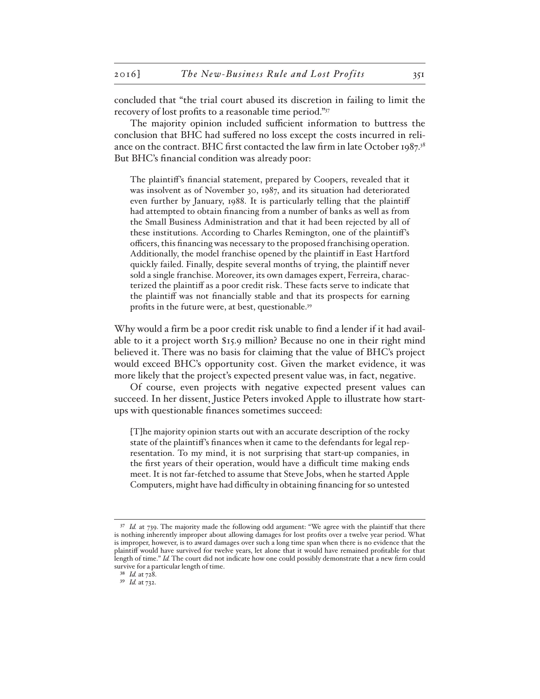concluded that "the trial court abused its discretion in failing to limit the recovery of lost profits to a reasonable time period."37

The majority opinion included sufficient information to buttress the conclusion that BHC had suffered no loss except the costs incurred in reliance on the contract. BHC first contacted the law firm in late October 1987.<sup>38</sup> But BHC's financial condition was already poor:

The plaintiff's financial statement, prepared by Coopers, revealed that it was insolvent as of November 30, 1987, and its situation had deteriorated even further by January, 1988. It is particularly telling that the plaintiff had attempted to obtain financing from a number of banks as well as from the Small Business Administration and that it had been rejected by all of these institutions. According to Charles Remington, one of the plaintiff's officers, this financing was necessary to the proposed franchising operation. Additionally, the model franchise opened by the plaintiff in East Hartford quickly failed. Finally, despite several months of trying, the plaintiff never sold a single franchise. Moreover, its own damages expert, Ferreira, characterized the plaintiff as a poor credit risk. These facts serve to indicate that the plaintiff was not financially stable and that its prospects for earning profits in the future were, at best, questionable.39

Why would a firm be a poor credit risk unable to find a lender if it had available to it a project worth \$15.9 million? Because no one in their right mind believed it. There was no basis for claiming that the value of BHC's project would exceed BHC's opportunity cost. Given the market evidence, it was more likely that the project's expected present value was, in fact, negative.

Of course, even projects with negative expected present values can succeed. In her dissent, Justice Peters invoked Apple to illustrate how startups with questionable finances sometimes succeed:

[T]he majority opinion starts out with an accurate description of the rocky state of the plaintiff's finances when it came to the defendants for legal representation. To my mind, it is not surprising that start-up companies, in the first years of their operation, would have a difficult time making ends meet. It is not far-fetched to assume that Steve Jobs, when he started Apple Computers, might have had difficulty in obtaining financing for so untested

<sup>&</sup>lt;sup>37</sup> *Id.* at 739. The majority made the following odd argument: "We agree with the plaintiff that there is nothing inherently improper about allowing damages for lost profits over a twelve year period. What is improper, however, is to award damages over such a long time span when there is no evidence that the plaintiff would have survived for twelve years, let alone that it would have remained profitable for that length of time." *Id.* The court did not indicate how one could possibly demonstrate that a new firm could survive for a particular length of time.

<sup>38</sup> *Id.* at 728.

<sup>39</sup> *Id.* at 732.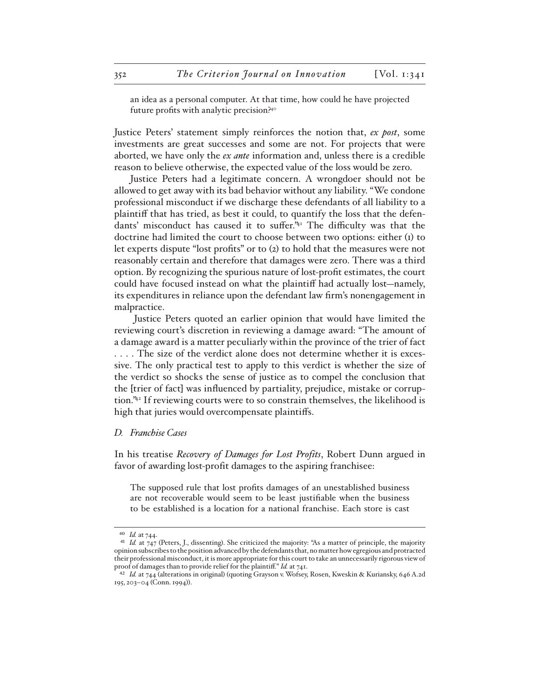an idea as a personal computer. At that time, how could he have projected future profits with analytic precision?40

Justice Peters' statement simply reinforces the notion that, *ex post*, some investments are great successes and some are not. For projects that were aborted, we have only the *ex ante* information and, unless there is a credible reason to believe otherwise, the expected value of the loss would be zero.

Justice Peters had a legitimate concern. A wrongdoer should not be allowed to get away with its bad behavior without any liability. "We condone professional misconduct if we discharge these defendants of all liability to a plaintiff that has tried, as best it could, to quantify the loss that the defendants' misconduct has caused it to suffer."41 The difficulty was that the doctrine had limited the court to choose between two options: either (1) to let experts dispute "lost profits" or to (2) to hold that the measures were not reasonably certain and therefore that damages were zero. There was a third option. By recognizing the spurious nature of lost-profit estimates, the court could have focused instead on what the plaintiff had actually lost—namely, its expenditures in reliance upon the defendant law firm's nonengagement in malpractice.

 Justice Peters quoted an earlier opinion that would have limited the reviewing court's discretion in reviewing a damage award: "The amount of a damage award is a matter peculiarly within the province of the trier of fact .... The size of the verdict alone does not determine whether it is excessive. The only practical test to apply to this verdict is whether the size of the verdict so shocks the sense of justice as to compel the conclusion that the [trier of fact] was influenced by partiality, prejudice, mistake or corruption."42 If reviewing courts were to so constrain themselves, the likelihood is high that juries would overcompensate plaintiffs.

#### *D. Franchise Cases*

In his treatise *Recovery of Damages for Lost Profits*, Robert Dunn argued in favor of awarding lost-profit damages to the aspiring franchisee:

The supposed rule that lost profits damages of an unestablished business are not recoverable would seem to be least justifiable when the business to be established is a location for a national franchise. Each store is cast

<sup>40</sup> *Id.* at 744.

<sup>&</sup>lt;sup>41</sup> *Id.* at 747 (Peters, J., dissenting). She criticized the majority: "As a matter of principle, the majority opinion subscribes to the position advanced by the defendants that, no matter how egregious and protracted their professional misconduct, it is more appropriate for this court to take an unnecessarily rigorous view of proof of damages than to provide relief for the plaintiff." *Id.* at 741.

<sup>42</sup> *Id.* at 744 (alterations in original) (quoting Grayson v. Wofsey, Rosen, Kweskin & Kuriansky, 646 A.2d 195, 203–04 (Conn. 1994)).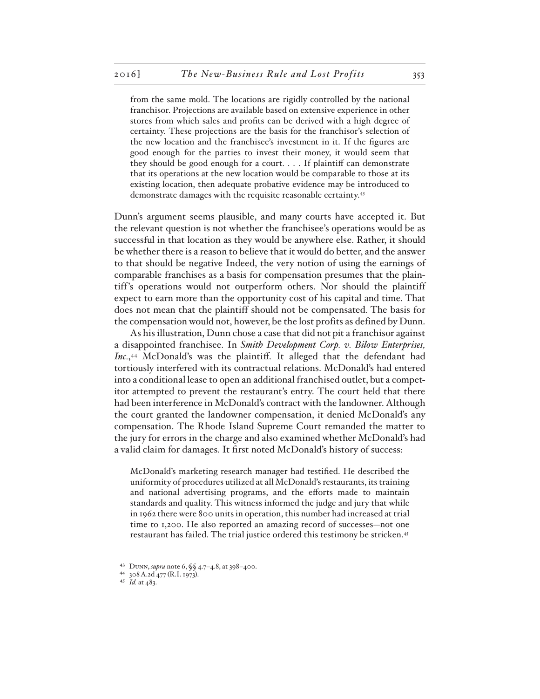from the same mold. The locations are rigidly controlled by the national franchisor. Projections are available based on extensive experience in other stores from which sales and profits can be derived with a high degree of certainty. These projections are the basis for the franchisor's selection of the new location and the franchisee's investment in it. If the figures are good enough for the parties to invest their money, it would seem that they should be good enough for a court. . . . If plaintiff can demonstrate that its operations at the new location would be comparable to those at its existing location, then adequate probative evidence may be introduced to demonstrate damages with the requisite reasonable certainty.43

Dunn's argument seems plausible, and many courts have accepted it. But the relevant question is not whether the franchisee's operations would be as successful in that location as they would be anywhere else. Rather, it should be whether there is a reason to believe that it would do better, and the answer to that should be negative Indeed, the very notion of using the earnings of comparable franchises as a basis for compensation presumes that the plaintiff's operations would not outperform others. Nor should the plaintiff expect to earn more than the opportunity cost of his capital and time. That does not mean that the plaintiff should not be compensated. The basis for the compensation would not, however, be the lost profits as defined by Dunn.

As his illustration, Dunn chose a case that did not pit a franchisor against a disappointed franchisee. In *Smith Development Corp. v. Bilow Enterprises, Inc.*, 44 McDonald's was the plaintiff. It alleged that the defendant had tortiously interfered with its contractual relations. McDonald's had entered into a conditional lease to open an additional franchised outlet, but a competitor attempted to prevent the restaurant's entry. The court held that there had been interference in McDonald's contract with the landowner. Although the court granted the landowner compensation, it denied McDonald's any compensation. The Rhode Island Supreme Court remanded the matter to the jury for errors in the charge and also examined whether McDonald's had a valid claim for damages. It first noted McDonald's history of success:

McDonald's marketing research manager had testified. He described the uniformity of procedures utilized at all McDonald's restaurants, its training and national advertising programs, and the efforts made to maintain standards and quality. This witness informed the judge and jury that while in 1962 there were 800 units in operation, this number had increased at trial time to 1,200. He also reported an amazing record of successes—not one restaurant has failed. The trial justice ordered this testimony be stricken.45

<sup>43</sup> Dunn, *supra* note 6, §§ 4.7–4.8, at 398–400.

<sup>44</sup> 308 A.2d 477 (R.I. 1973).

<sup>45</sup> *Id.* at 483.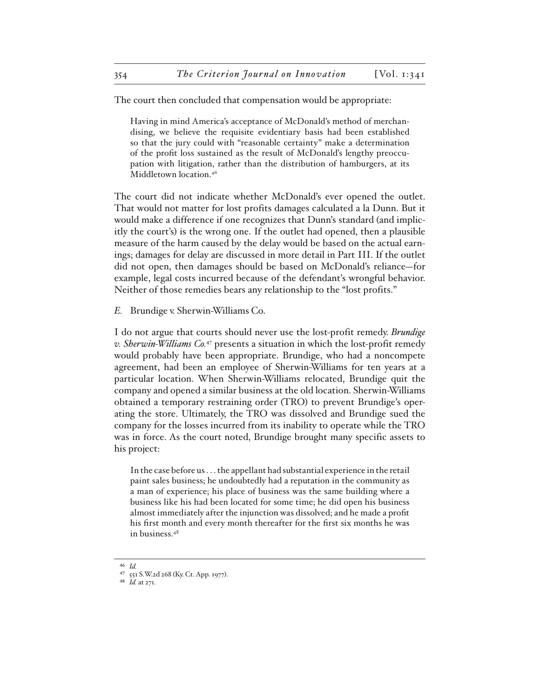The court then concluded that compensation would be appropriate:

Having in mind America's acceptance of McDonald's method of merchandising, we believe the requisite evidentiary basis had been established so that the jury could with "reasonable certainty" make a determination of the profit loss sustained as the result of McDonald's lengthy preoccupation with litigation, rather than the distribution of hamburgers, at its Middletown location.46

The court did not indicate whether McDonald's ever opened the outlet. That would not matter for lost profits damages calculated a la Dunn. But it would make a difference if one recognizes that Dunn's standard (and implicitly the court's) is the wrong one. If the outlet had opened, then a plausible measure of the harm caused by the delay would be based on the actual earnings; damages for delay are discussed in more detail in Part III. If the outlet did not open, then damages should be based on McDonald's reliance—for example, legal costs incurred because of the defendant's wrongful behavior. Neither of those remedies bears any relationship to the "lost profits."

*E.* Brundige v. Sherwin-Williams Co.

I do not argue that courts should never use the lost-profit remedy. *Brundige v. Sherwin-Williams Co.*<sup>47</sup> presents a situation in which the lost-profit remedy would probably have been appropriate. Brundige, who had a noncompete agreement, had been an employee of Sherwin-Williams for ten years at a particular location. When Sherwin-Williams relocated, Brundige quit the company and opened a similar business at the old location. Sherwin-Williams obtained a temporary restraining order (TRO) to prevent Brundige's operating the store. Ultimately, the TRO was dissolved and Brundige sued the company for the losses incurred from its inability to operate while the TRO was in force. As the court noted, Brundige brought many specific assets to his project:

In the case before us . . . the appellant had substantial experience in the retail paint sales business; he undoubtedly had a reputation in the community as a man of experience; his place of business was the same building where a business like his had been located for some time; he did open his business almost immediately after the injunction was dissolved; and he made a profit his first month and every month thereafter for the first six months he was in business.48

<sup>46</sup> *Id.*

<sup>47</sup> 551 S.W.2d 268 (Ky. Ct. App. 1977).

<sup>48</sup> *Id.* at 271.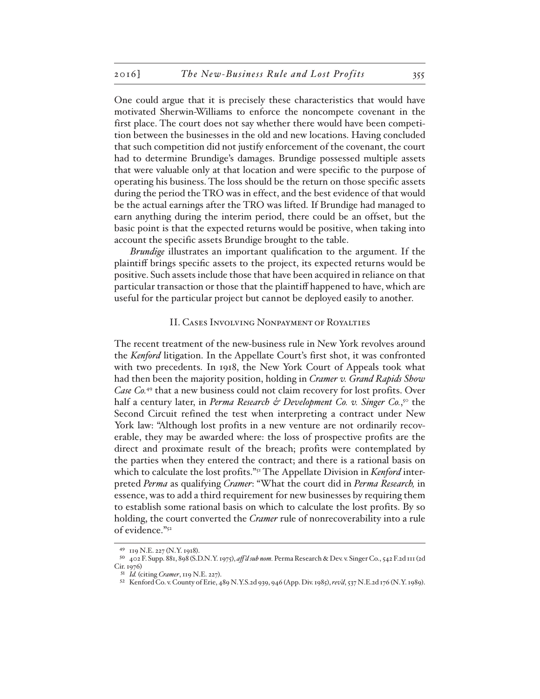One could argue that it is precisely these characteristics that would have motivated Sherwin-Williams to enforce the noncompete covenant in the first place. The court does not say whether there would have been competition between the businesses in the old and new locations. Having concluded that such competition did not justify enforcement of the covenant, the court had to determine Brundige's damages. Brundige possessed multiple assets that were valuable only at that location and were specific to the purpose of operating his business. The loss should be the return on those specific assets during the period the TRO was in effect, and the best evidence of that would be the actual earnings after the TRO was lifted. If Brundige had managed to earn anything during the interim period, there could be an offset, but the basic point is that the expected returns would be positive, when taking into account the specific assets Brundige brought to the table.

*Brundige* illustrates an important qualification to the argument. If the plaintiff brings specific assets to the project, its expected returns would be positive. Such assets include those that have been acquired in reliance on that particular transaction or those that the plaintiff happened to have, which are useful for the particular project but cannot be deployed easily to another.

## II. Cases Involving Nonpayment of Royalties

The recent treatment of the new-business rule in New York revolves around the *Kenford* litigation. In the Appellate Court's first shot, it was confronted with two precedents. In 1918, the New York Court of Appeals took what had then been the majority position, holding in *Cramer v. Grand Rapids Show Case Co.*49 that a new business could not claim recovery for lost profits. Over half a century later, in *Perma Research & Development Co. v. Singer Co.*,<sup>50</sup> the Second Circuit refined the test when interpreting a contract under New York law: "Although lost profits in a new venture are not ordinarily recoverable, they may be awarded where: the loss of prospective profits are the direct and proximate result of the breach; profits were contemplated by the parties when they entered the contract; and there is a rational basis on which to calculate the lost profits."51 The Appellate Division in *Kenford* interpreted *Perma* as qualifying *Cramer*: "What the court did in *Perma Research,* in essence, was to add a third requirement for new businesses by requiring them to establish some rational basis on which to calculate the lost profits. By so holding, the court converted the *Cramer* rule of nonrecoverability into a rule of evidence."52

<sup>49</sup> 119 N.E. 227 (N.Y. 1918).

<sup>50</sup> 402 F. Supp. 881, 898 (S.D.N.Y. 1975), *aff 'd sub nom.* Perma Research & Dev. v. Singer Co., 542 F.2d 111 (2d Cir. 1976)

<sup>51</sup> *Id.* (citing *Cramer*, 119 N.E. 227).

<sup>52</sup> Kenford Co. v. County of Erie, 489 N.Y.S.2d 939, 946 (App. Div. 1985), *rev'd*, 537 N.E.2d 176 (N.Y. 1989).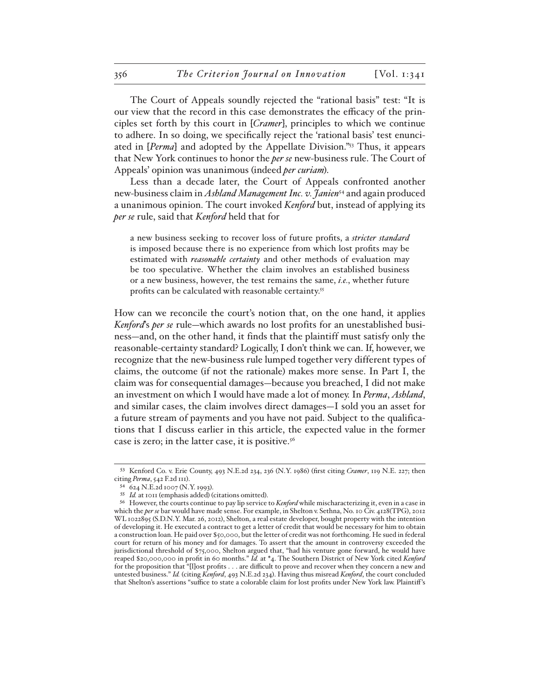The Court of Appeals soundly rejected the "rational basis" test: "It is our view that the record in this case demonstrates the efficacy of the principles set forth by this court in [*Cramer*], principles to which we continue to adhere. In so doing, we specifically reject the 'rational basis' test enunciated in [*Perma*] and adopted by the Appellate Division."53 Thus, it appears that New York continues to honor the *per se* new-business rule. The Court of Appeals' opinion was unanimous (indeed *per curiam*).

Less than a decade later, the Court of Appeals confronted another new-business claim in *Ashland Management Inc. v. Janien*54 and again produced a unanimous opinion. The court invoked *Kenford* but, instead of applying its *per se* rule, said that *Kenford* held that for

a new business seeking to recover loss of future profits, a *stricter standard* is imposed because there is no experience from which lost profits may be estimated with *reasonable certainty* and other methods of evaluation may be too speculative. Whether the claim involves an established business or a new business, however, the test remains the same, *i.e.*, whether future profits can be calculated with reasonable certainty.<sup>55</sup>

How can we reconcile the court's notion that, on the one hand, it applies *Kenford*'s *per se* rule—which awards no lost profits for an unestablished business—and, on the other hand, it finds that the plaintiff must satisfy only the reasonable-certainty standard? Logically, I don't think we can. If, however, we recognize that the new-business rule lumped together very different types of claims, the outcome (if not the rationale) makes more sense. In Part I, the claim was for consequential damages—because you breached, I did not make an investment on which I would have made a lot of money. In *Perma*, *Ashland*, and similar cases, the claim involves direct damages—I sold you an asset for a future stream of payments and you have not paid. Subject to the qualifications that I discuss earlier in this article, the expected value in the former case is zero; in the latter case, it is positive.<sup>56</sup>

<sup>53</sup> Kenford Co. v. Erie County, 493 N.E.2d 234, 236 (N.Y. 1986) (first citing *Cramer*, 119 N.E. 227; then citing *Perma*, 542 F.2d 111).

<sup>54</sup> 624 N.E.2d 1007 (N.Y. 1993).

<sup>55</sup> *Id.* at 1011 (emphasis added) (citations omitted).

<sup>56</sup> However, the courts continue to pay lip service to *Kenford* while mischaracterizing it, even in a case in which the *per se* bar would have made sense. For example, in Shelton v. Sethna, No. 10 Civ. 4128(TPG), 2012 WL 1022895 (S.D.N.Y. Mar. 26, 2012), Shelton, a real estate developer, bought property with the intention of developing it. He executed a contract to get a letter of credit that would be necessary for him to obtain a construction loan. He paid over \$50,000, but the letter of credit was not forthcoming. He sued in federal court for return of his money and for damages. To assert that the amount in controversy exceeded the jurisdictional threshold of \$75,000, Shelton argued that, "had his venture gone forward, he would have reaped \$20,000,000 in profit in 60 months." *Id.* at \*4. The Southern District of New York cited *Kenford*  for the proposition that "[l]ost profits . . . are difficult to prove and recover when they concern a new and untested business." *Id.* (citing *Kenford*, 493 N.E.2d 234). Having thus misread *Kenford*, the court concluded that Shelton's assertions "suffice to state a colorable claim for lost profits under New York law. Plaintiff 's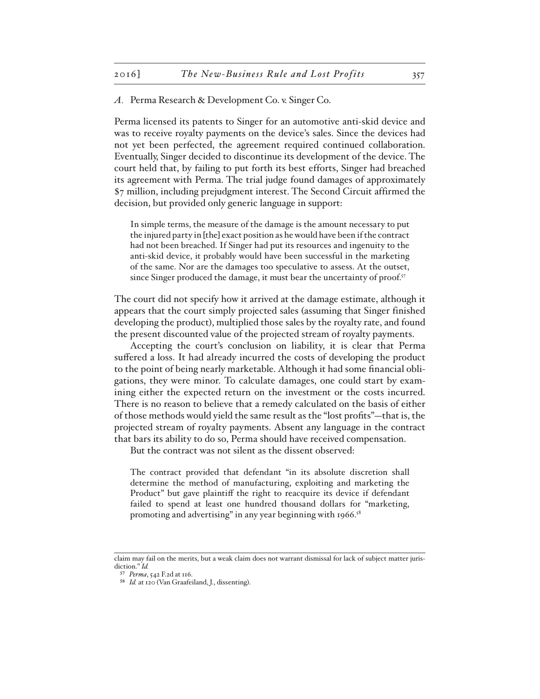#### *A.* Perma Research & Development Co. v. Singer Co.

Perma licensed its patents to Singer for an automotive anti-skid device and was to receive royalty payments on the device's sales. Since the devices had not yet been perfected, the agreement required continued collaboration. Eventually, Singer decided to discontinue its development of the device. The court held that, by failing to put forth its best efforts, Singer had breached its agreement with Perma. The trial judge found damages of approximately \$7 million, including prejudgment interest. The Second Circuit affirmed the decision, but provided only generic language in support:

In simple terms, the measure of the damage is the amount necessary to put the injured party in [the] exact position as he would have been if the contract had not been breached. If Singer had put its resources and ingenuity to the anti-skid device, it probably would have been successful in the marketing of the same. Nor are the damages too speculative to assess. At the outset, since Singer produced the damage, it must bear the uncertainty of proof.<sup>57</sup>

The court did not specify how it arrived at the damage estimate, although it appears that the court simply projected sales (assuming that Singer finished developing the product), multiplied those sales by the royalty rate, and found the present discounted value of the projected stream of royalty payments.

Accepting the court's conclusion on liability, it is clear that Perma suffered a loss. It had already incurred the costs of developing the product to the point of being nearly marketable. Although it had some financial obligations, they were minor. To calculate damages, one could start by examining either the expected return on the investment or the costs incurred. There is no reason to believe that a remedy calculated on the basis of either of those methods would yield the same result as the "lost profits"—that is, the projected stream of royalty payments. Absent any language in the contract that bars its ability to do so, Perma should have received compensation.

But the contract was not silent as the dissent observed:

The contract provided that defendant "in its absolute discretion shall determine the method of manufacturing, exploiting and marketing the Product" but gave plaintiff the right to reacquire its device if defendant failed to spend at least one hundred thousand dollars for "marketing, promoting and advertising" in any year beginning with 1966.<sup>58</sup>

claim may fail on the merits, but a weak claim does not warrant dismissal for lack of subject matter jurisdiction." *Id.*

<sup>57</sup> *Perma*, 542 F.2d at 116.

<sup>58</sup> *Id.* at 120 (Van Graafeiland, J., dissenting).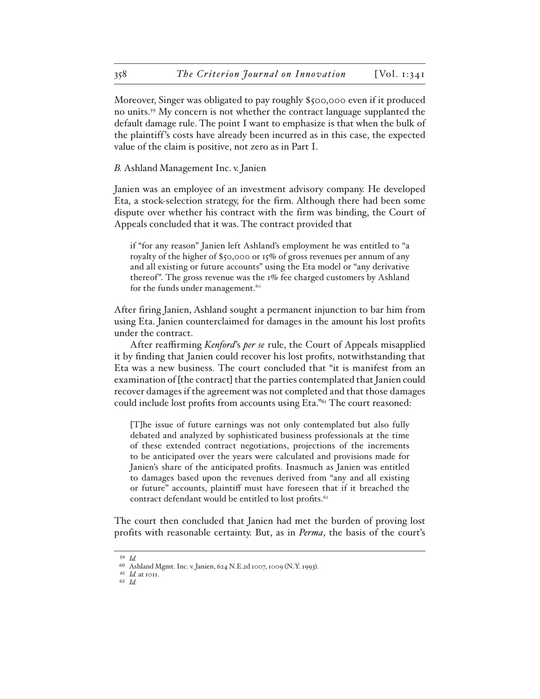Moreover, Singer was obligated to pay roughly \$500,000 even if it produced no units.59 My concern is not whether the contract language supplanted the default damage rule. The point I want to emphasize is that when the bulk of the plaintiff 's costs have already been incurred as in this case, the expected value of the claim is positive, not zero as in Part I.

*B.* Ashland Management Inc. v. Janien

Janien was an employee of an investment advisory company. He developed Eta, a stock-selection strategy, for the firm. Although there had been some dispute over whether his contract with the firm was binding, the Court of Appeals concluded that it was. The contract provided that

if "for any reason" Janien left Ashland's employment he was entitled to "a royalty of the higher of \$50,000 or 15% of gross revenues per annum of any and all existing or future accounts" using the Eta model or "any derivative thereof". The gross revenue was the 1% fee charged customers by Ashland for the funds under management.<sup>60</sup>

After firing Janien, Ashland sought a permanent injunction to bar him from using Eta. Janien counterclaimed for damages in the amount his lost profits under the contract.

After reaffirming *Kenford*'s *per se* rule, the Court of Appeals misapplied it by finding that Janien could recover his lost profits, notwithstanding that Eta was a new business. The court concluded that "it is manifest from an examination of [the contract] that the parties contemplated that Janien could recover damages if the agreement was not completed and that those damages could include lost profits from accounts using Eta."61 The court reasoned:

[T]he issue of future earnings was not only contemplated but also fully debated and analyzed by sophisticated business professionals at the time of these extended contract negotiations, projections of the increments to be anticipated over the years were calculated and provisions made for Janien's share of the anticipated profits. Inasmuch as Janien was entitled to damages based upon the revenues derived from "any and all existing or future" accounts, plaintiff must have foreseen that if it breached the contract defendant would be entitled to lost profits.<sup>62</sup>

The court then concluded that Janien had met the burden of proving lost profits with reasonable certainty. But, as in *Perma*, the basis of the court's

<sup>59</sup> *Id.*

<sup>60</sup> Ashland Mgmt. Inc. v. Janien, 624 N.E.2d 1007, 1009 (N.Y. 1993).

<sup>61</sup> *Id.* at 1011.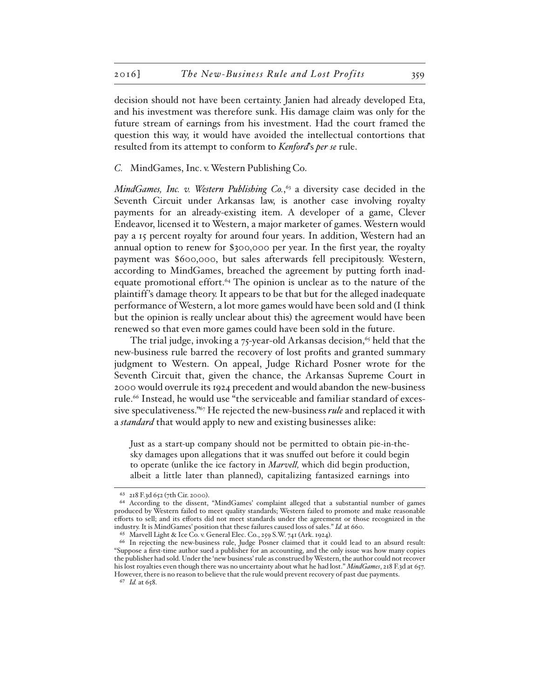decision should not have been certainty. Janien had already developed Eta, and his investment was therefore sunk. His damage claim was only for the future stream of earnings from his investment. Had the court framed the question this way, it would have avoided the intellectual contortions that resulted from its attempt to conform to *Kenford*'s *per se* rule.

*C.* MindGames, Inc. v. Western Publishing Co.

*MindGames, Inc. v. Western Publishing Co.*, 63 a diversity case decided in the Seventh Circuit under Arkansas law, is another case involving royalty payments for an already-existing item. A developer of a game, Clever Endeavor, licensed it to Western, a major marketer of games. Western would pay a 15 percent royalty for around four years. In addition, Western had an annual option to renew for \$300,000 per year. In the first year, the royalty payment was \$600,000, but sales afterwards fell precipitously. Western, according to MindGames, breached the agreement by putting forth inadequate promotional effort.<sup>64</sup> The opinion is unclear as to the nature of the plaintiff 's damage theory. It appears to be that but for the alleged inadequate performance of Western, a lot more games would have been sold and (I think but the opinion is really unclear about this) the agreement would have been renewed so that even more games could have been sold in the future.

The trial judge, invoking a  $75$ -year-old Arkansas decision,  $65$  held that the new-business rule barred the recovery of lost profits and granted summary judgment to Western. On appeal, Judge Richard Posner wrote for the Seventh Circuit that, given the chance, the Arkansas Supreme Court in 2000 would overrule its 1924 precedent and would abandon the new-business rule.<sup>66</sup> Instead, he would use "the serviceable and familiar standard of excessive speculativeness."67 He rejected the new-business *rule* and replaced it with a *standard* that would apply to new and existing businesses alike:

Just as a start-up company should not be permitted to obtain pie-in-thesky damages upon allegations that it was snuffed out before it could begin to operate (unlike the ice factory in *Marvell,* which did begin production, albeit a little later than planned), capitalizing fantasized earnings into

67 *Id.* at 658.

<sup>63</sup> 218 F.3d 652 (7th Cir. 2000).

<sup>64</sup> According to the dissent, "MindGames' complaint alleged that a substantial number of games produced by Western failed to meet quality standards; Western failed to promote and make reasonable efforts to sell; and its efforts did not meet standards under the agreement or those recognized in the industry. It is MindGames' position that these failures caused loss of sales." *Id.* at 660.

<sup>65</sup> Marvell Light & Ice Co. v. General Elec. Co., 259 S.W. 741 (Ark. 1924).

<sup>66</sup> In rejecting the new-business rule, Judge Posner claimed that it could lead to an absurd result: "Suppose a first-time author sued a publisher for an accounting, and the only issue was how many copies the publisher had sold. Under the 'new business' rule as construed by Western, the author could not recover his lost royalties even though there was no uncertainty about what he had lost." *MindGames*, 218 F.3d at 657. However, there is no reason to believe that the rule would prevent recovery of past due payments.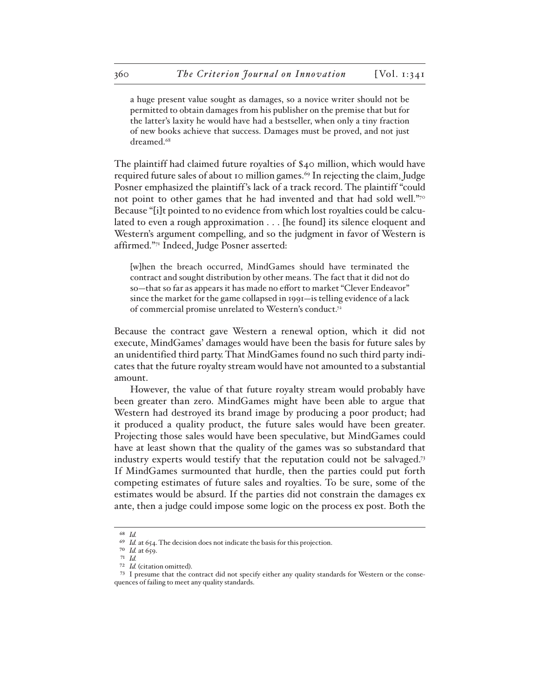a huge present value sought as damages, so a novice writer should not be permitted to obtain damages from his publisher on the premise that but for the latter's laxity he would have had a bestseller, when only a tiny fraction of new books achieve that success. Damages must be proved, and not just dreamed.<sup>68</sup>

The plaintiff had claimed future royalties of \$40 million, which would have required future sales of about 10 million games.<sup>69</sup> In rejecting the claim, Judge Posner emphasized the plaintiff 's lack of a track record. The plaintiff "could not point to other games that he had invented and that had sold well."70 Because "[i]t pointed to no evidence from which lost royalties could be calculated to even a rough approximation . . . [he found] its silence eloquent and Western's argument compelling, and so the judgment in favor of Western is affirmed."71 Indeed, Judge Posner asserted:

[w]hen the breach occurred, MindGames should have terminated the contract and sought distribution by other means. The fact that it did not do so—that so far as appears it has made no effort to market "Clever Endeavor" since the market for the game collapsed in 1991—is telling evidence of a lack of commercial promise unrelated to Western's conduct.<sup>72</sup>

Because the contract gave Western a renewal option, which it did not execute, MindGames' damages would have been the basis for future sales by an unidentified third party. That MindGames found no such third party indicates that the future royalty stream would have not amounted to a substantial amount.

However, the value of that future royalty stream would probably have been greater than zero. MindGames might have been able to argue that Western had destroyed its brand image by producing a poor product; had it produced a quality product, the future sales would have been greater. Projecting those sales would have been speculative, but MindGames could have at least shown that the quality of the games was so substandard that industry experts would testify that the reputation could not be salvaged.73 If MindGames surmounted that hurdle, then the parties could put forth competing estimates of future sales and royalties. To be sure, some of the estimates would be absurd. If the parties did not constrain the damages ex ante, then a judge could impose some logic on the process ex post. Both the

<sup>68</sup> *Id.*

<sup>&</sup>lt;sup>69</sup> *Id.* at 654. The decision does not indicate the basis for this projection.

<sup>70</sup> *Id.* at 659.

<sup>71</sup> *Id.*

<sup>72</sup> *Id.* (citation omitted).

<sup>73</sup> I presume that the contract did not specify either any quality standards for Western or the consequences of failing to meet any quality standards.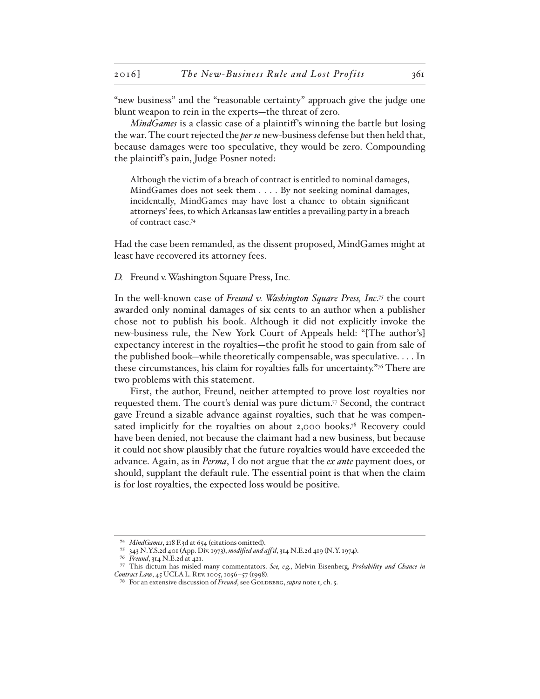"new business" and the "reasonable certainty" approach give the judge one blunt weapon to rein in the experts—the threat of zero.

*MindGames* is a classic case of a plaintiff's winning the battle but losing the war. The court rejected the *per se* new-business defense but then held that, because damages were too speculative, they would be zero. Compounding the plaintiff's pain, Judge Posner noted:

Although the victim of a breach of contract is entitled to nominal damages, MindGames does not seek them . . . . By not seeking nominal damages, incidentally, MindGames may have lost a chance to obtain significant attorneys' fees, to which Arkansas law entitles a prevailing party in a breach of contract case.74

Had the case been remanded, as the dissent proposed, MindGames might at least have recovered its attorney fees.

*D.* Freund v. Washington Square Press, Inc*.*

In the well-known case of *Freund v. Washington Square Press, Inc*. 75 the court awarded only nominal damages of six cents to an author when a publisher chose not to publish his book. Although it did not explicitly invoke the new-business rule, the New York Court of Appeals held: "[The author's] expectancy interest in the royalties—the profit he stood to gain from sale of the published book—while theoretically compensable, was speculative. . . . In these circumstances, his claim for royalties falls for uncertainty."76 There are two problems with this statement.

First, the author, Freund, neither attempted to prove lost royalties nor requested them. The court's denial was pure dictum.77 Second, the contract gave Freund a sizable advance against royalties, such that he was compensated implicitly for the royalties on about 2,000 books.<sup>78</sup> Recovery could have been denied, not because the claimant had a new business, but because it could not show plausibly that the future royalties would have exceeded the advance. Again, as in *Perma*, I do not argue that the *ex ante* payment does, or should, supplant the default rule. The essential point is that when the claim is for lost royalties, the expected loss would be positive.

<sup>74</sup> *MindGames*, 218 F.3d at 654 (citations omitted).

<sup>75</sup> 343 N.Y.S.2d 401 (App. Div. 1973), *modified and aff 'd*, 314 N.E.2d 419 (N.Y. 1974).

<sup>76</sup> *Freund*, 314 N.E.2d at 421.

<sup>77</sup> This dictum has misled many commentators. *See, e.g.*, Melvin Eisenberg, *Probability and Chance in Contract Law*, 45 UCLA L. Rev. 1005, 1056–57 (1998).

<sup>&</sup>lt;sup>78</sup> For an extensive discussion of *Freund*, see GOLDBERG, *supra* note 1, ch. 5.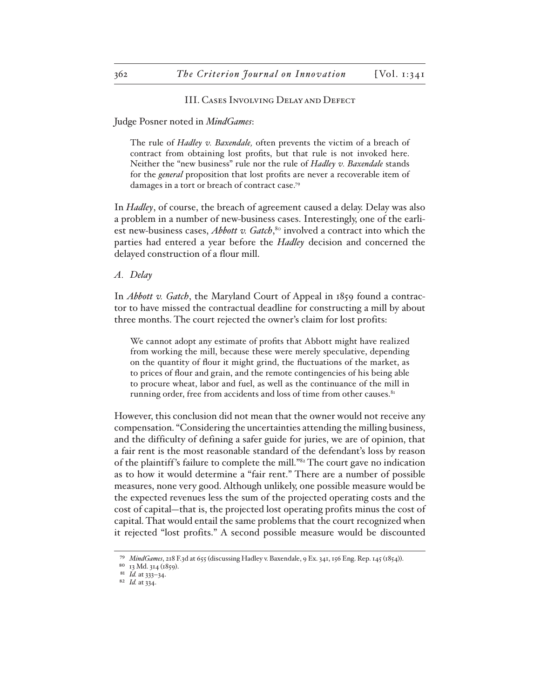#### III. Cases Involving Delay and Defect

Judge Posner noted in *MindGames*:

The rule of *Hadley v. Baxendale,* often prevents the victim of a breach of contract from obtaining lost profits, but that rule is not invoked here. Neither the "new business" rule nor the rule of *Hadley v. Baxendale* stands for the *general* proposition that lost profits are never a recoverable item of damages in a tort or breach of contract case.79

In *Hadley*, of course, the breach of agreement caused a delay. Delay was also a problem in a number of new-business cases. Interestingly, one of the earliest new-business cases, *Abbott v. Gatch*, 80 involved a contract into which the parties had entered a year before the *Hadley* decision and concerned the delayed construction of a flour mill.

### *A. Delay*

In *Abbott v. Gatch*, the Maryland Court of Appeal in 1859 found a contractor to have missed the contractual deadline for constructing a mill by about three months. The court rejected the owner's claim for lost profits:

We cannot adopt any estimate of profits that Abbott might have realized from working the mill, because these were merely speculative, depending on the quantity of flour it might grind, the fluctuations of the market, as to prices of flour and grain, and the remote contingencies of his being able to procure wheat, labor and fuel, as well as the continuance of the mill in running order, free from accidents and loss of time from other causes.<sup>81</sup>

However, this conclusion did not mean that the owner would not receive any compensation. "Considering the uncertainties attending the milling business, and the difficulty of defining a safer guide for juries, we are of opinion, that a fair rent is the most reasonable standard of the defendant's loss by reason of the plaintiff 's failure to complete the mill."82 The court gave no indication as to how it would determine a "fair rent." There are a number of possible measures, none very good. Although unlikely, one possible measure would be the expected revenues less the sum of the projected operating costs and the cost of capital—that is, the projected lost operating profits minus the cost of capital. That would entail the same problems that the court recognized when it rejected "lost profits." A second possible measure would be discounted

<sup>79</sup> *MindGames*, 218 F.3d at 655 (discussing Hadley v. Baxendale, 9 Ex. 341, 156 Eng. Rep. 145 (1854)).

<sup>80</sup> 13 Md. 314 (1859).

<sup>81</sup> *Id.* at 333–34.

<sup>82</sup> *Id.* at 334.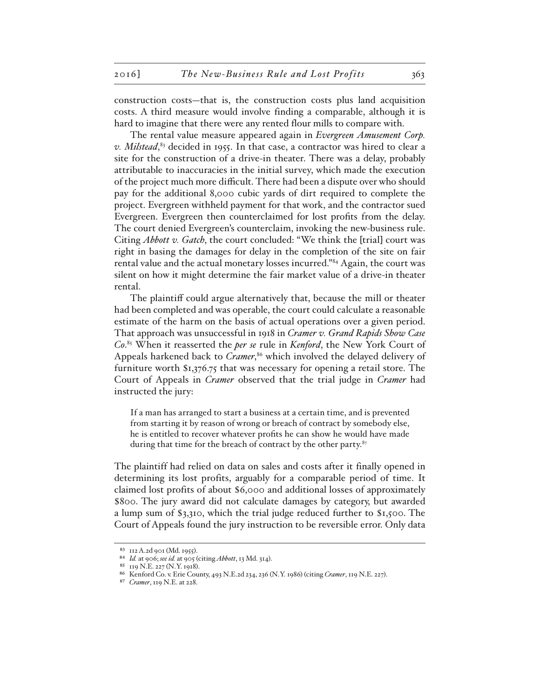construction costs—that is, the construction costs plus land acquisition costs. A third measure would involve finding a comparable, although it is hard to imagine that there were any rented flour mills to compare with.

The rental value measure appeared again in *Evergreen Amusement Corp. v. Milstead*, 83 decided in 1955. In that case, a contractor was hired to clear a site for the construction of a drive-in theater. There was a delay, probably attributable to inaccuracies in the initial survey, which made the execution of the project much more difficult. There had been a dispute over who should pay for the additional 8,000 cubic yards of dirt required to complete the project. Evergreen withheld payment for that work, and the contractor sued Evergreen. Evergreen then counterclaimed for lost profits from the delay. The court denied Evergreen's counterclaim, invoking the new-business rule. Citing *Abbott v. Gatch*, the court concluded: "We think the [trial] court was right in basing the damages for delay in the completion of the site on fair rental value and the actual monetary losses incurred."84 Again, the court was silent on how it might determine the fair market value of a drive-in theater rental.

The plaintiff could argue alternatively that, because the mill or theater had been completed and was operable, the court could calculate a reasonable estimate of the harm on the basis of actual operations over a given period. That approach was unsuccessful in 1918 in *Cramer v. Grand Rapids Show Case Co*. 85 When it reasserted the *per se* rule in *Kenford*, the New York Court of Appeals harkened back to *Cramer*,<sup>86</sup> which involved the delayed delivery of furniture worth \$1,376.75 that was necessary for opening a retail store. The Court of Appeals in *Cramer* observed that the trial judge in *Cramer* had instructed the jury:

If a man has arranged to start a business at a certain time, and is prevented from starting it by reason of wrong or breach of contract by somebody else, he is entitled to recover whatever profits he can show he would have made during that time for the breach of contract by the other party.<sup>87</sup>

The plaintiff had relied on data on sales and costs after it finally opened in determining its lost profits, arguably for a comparable period of time. It claimed lost profits of about \$6,000 and additional losses of approximately \$800. The jury award did not calculate damages by category, but awarded a lump sum of \$3,310, which the trial judge reduced further to \$1,500. The Court of Appeals found the jury instruction to be reversible error. Only data

<sup>83</sup> 112 A.2d 901 (Md. 1955).

<sup>84</sup> *Id.* at 906; *see id.* at 905 (citing *Abbott*, 13 Md. 314).

<sup>85</sup> 119 N.E. 227 (N.Y. 1918).

<sup>86</sup> Kenford Co. v. Erie County, 493 N.E.2d 234, 236 (N.Y. 1986) (citing *Cramer*, 119 N.E. 227).

<sup>87</sup> *Cramer*, 119 N.E. at 228.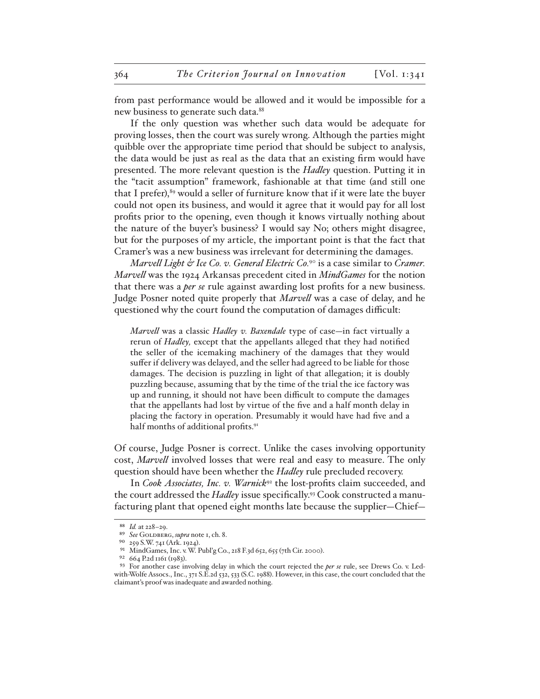from past performance would be allowed and it would be impossible for a new business to generate such data.<sup>88</sup>

If the only question was whether such data would be adequate for proving losses, then the court was surely wrong. Although the parties might quibble over the appropriate time period that should be subject to analysis, the data would be just as real as the data that an existing firm would have presented. The more relevant question is the *Hadley* question. Putting it in the "tacit assumption" framework, fashionable at that time (and still one that I prefer), $89$  would a seller of furniture know that if it were late the buyer could not open its business, and would it agree that it would pay for all lost profits prior to the opening, even though it knows virtually nothing about the nature of the buyer's business? I would say No; others might disagree, but for the purposes of my article, the important point is that the fact that Cramer's was a new business was irrelevant for determining the damages.

*Marvell Light & Ice Co. v. General Electric Co.*<sup>90</sup> is a case similar to *Cramer. Marvell* was the 1924 Arkansas precedent cited in *MindGames* for the notion that there was a *per se* rule against awarding lost profits for a new business. Judge Posner noted quite properly that *Marvell* was a case of delay, and he questioned why the court found the computation of damages difficult:

*Marvell* was a classic *Hadley v. Baxendale* type of case—in fact virtually a rerun of *Hadley,* except that the appellants alleged that they had notified the seller of the icemaking machinery of the damages that they would suffer if delivery was delayed, and the seller had agreed to be liable for those damages. The decision is puzzling in light of that allegation; it is doubly puzzling because, assuming that by the time of the trial the ice factory was up and running, it should not have been difficult to compute the damages that the appellants had lost by virtue of the five and a half month delay in placing the factory in operation. Presumably it would have had five and a half months of additional profits.<sup>91</sup>

Of course, Judge Posner is correct. Unlike the cases involving opportunity cost, *Marvell* involved losses that were real and easy to measure. The only question should have been whether the *Hadley* rule precluded recovery.

In *Cook Associates, Inc. v. Warnick*<sup>92</sup> the lost-profits claim succeeded, and the court addressed the *Hadley* issue specifically.93 Cook constructed a manufacturing plant that opened eight months late because the supplier—Chief—

<sup>88</sup> *Id.* at 228–29.

<sup>89</sup> *See* GOLDBERG, *supra* note 1, ch. 8.

<sup>90</sup> 259 S.W. 741 (Ark. 1924).

<sup>91</sup> MindGames, Inc. v. W. Publ'g Co., 218 F.3d 652, 655 (7th Cir. 2000).

<sup>92 664</sup> P.2d 1161 (1983).

<sup>93</sup> For another case involving delay in which the court rejected the *per se* rule, see Drews Co. v. Ledwith-Wolfe Assocs., Inc., 371 S.E.2d 532, 533 (S.C. 1988). However, in this case, the court concluded that the claimant's proof was inadequate and awarded nothing.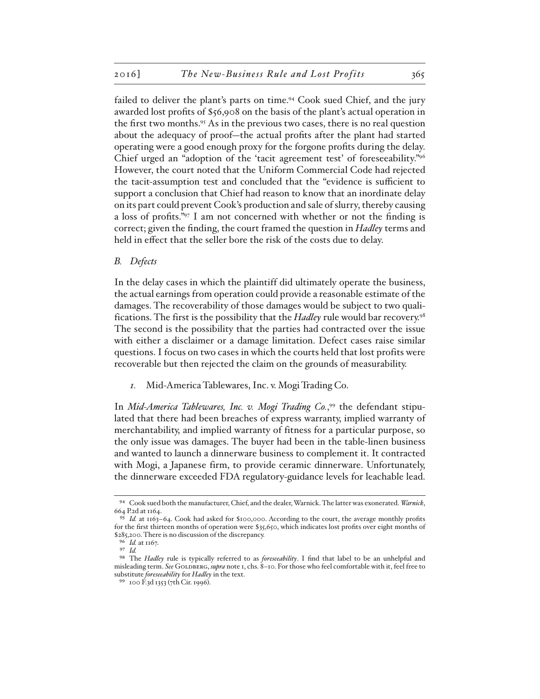failed to deliver the plant's parts on time.94 Cook sued Chief, and the jury awarded lost profits of \$56,908 on the basis of the plant's actual operation in the first two months.95 As in the previous two cases, there is no real question about the adequacy of proof—the actual profits after the plant had started operating were a good enough proxy for the forgone profits during the delay. Chief urged an "adoption of the 'tacit agreement test' of foreseeability."96 However, the court noted that the Uniform Commercial Code had rejected the tacit-assumption test and concluded that the "evidence is sufficient to support a conclusion that Chief had reason to know that an inordinate delay on its part could prevent Cook's production and sale of slurry, thereby causing a loss of profits."97 I am not concerned with whether or not the finding is correct; given the finding, the court framed the question in *Hadley* terms and held in effect that the seller bore the risk of the costs due to delay.

*B. Defects*

In the delay cases in which the plaintiff did ultimately operate the business, the actual earnings from operation could provide a reasonable estimate of the damages. The recoverability of those damages would be subject to two qualifications. The first is the possibility that the *Hadley* rule would bar recovery.98 The second is the possibility that the parties had contracted over the issue with either a disclaimer or a damage limitation. Defect cases raise similar questions. I focus on two cases in which the courts held that lost profits were recoverable but then rejected the claim on the grounds of measurability.

*1.* Mid-America Tablewares, Inc. v. Mogi Trading Co.

In *Mid-America Tablewares, Inc. v. Mogi Trading Co.*, 99 the defendant stipulated that there had been breaches of express warranty, implied warranty of merchantability, and implied warranty of fitness for a particular purpose, so the only issue was damages. The buyer had been in the table-linen business and wanted to launch a dinnerware business to complement it. It contracted with Mogi, a Japanese firm, to provide ceramic dinnerware. Unfortunately, the dinnerware exceeded FDA regulatory-guidance levels for leachable lead.

<sup>94</sup> Cook sued both the manufacturer, Chief, and the dealer, Warnick. The latter was exonerated. *Warnick*, 664 P.2d at 1164.

<sup>95</sup> *Id.* at 1163–64. Cook had asked for \$100,000. According to the court, the average monthly profits for the first thirteen months of operation were \$35,650, which indicates lost profits over eight months of \$285,200. There is no discussion of the discrepancy.

<sup>96</sup> *Id.* at 1167.

<sup>97</sup> *Id.*

<sup>98</sup> The *Hadley* rule is typically referred to as *foreseeability*. I find that label to be an unhelpful and misleading term. *See* GOLDBERG, *supra* note 1, chs. 8-10. For those who feel comfortable with it, feel free to substitute *foreseeability* for *Hadley* in the text.

<sup>99</sup> 100 F.3d 1353 (7th Cir. 1996).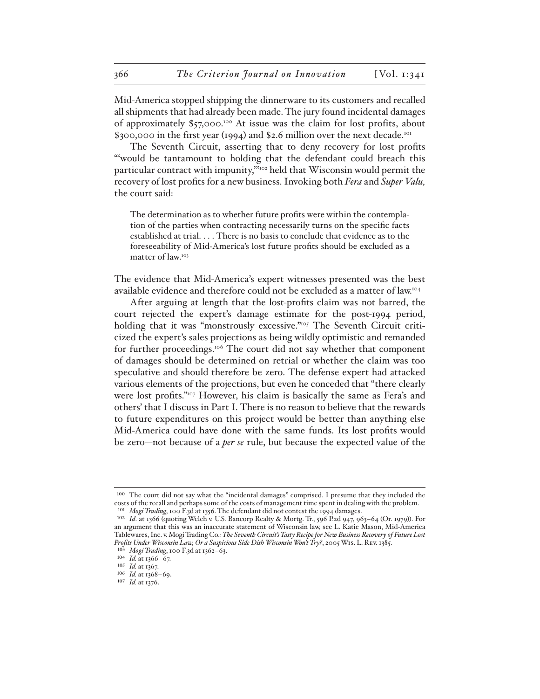Mid-America stopped shipping the dinnerware to its customers and recalled all shipments that had already been made. The jury found incidental damages of approximately \$57,000.100 At issue was the claim for lost profits, about \$300,000 in the first year (1994) and \$2.6 million over the next decade.<sup>101</sup>

The Seventh Circuit, asserting that to deny recovery for lost profits "'would be tantamount to holding that the defendant could breach this particular contract with impunity,'"102 held that Wisconsin would permit the recovery of lost profits for a new business. Invoking both *Fera* and *Super Valu,* the court said:

The determination as to whether future profits were within the contemplation of the parties when contracting necessarily turns on the specific facts established at trial. . . . There is no basis to conclude that evidence as to the foreseeability of Mid-America's lost future profits should be excluded as a matter of law.<sup>103</sup>

The evidence that Mid-America's expert witnesses presented was the best available evidence and therefore could not be excluded as a matter of law.104

After arguing at length that the lost-profits claim was not barred, the court rejected the expert's damage estimate for the post-1994 period, holding that it was "monstrously excessive."<sup>105</sup> The Seventh Circuit criticized the expert's sales projections as being wildly optimistic and remanded for further proceedings.106 The court did not say whether that component of damages should be determined on retrial or whether the claim was too speculative and should therefore be zero. The defense expert had attacked various elements of the projections, but even he conceded that "there clearly were lost profits."<sup>107</sup> However, his claim is basically the same as Fera's and others' that I discuss in Part I. There is no reason to believe that the rewards to future expenditures on this project would be better than anything else Mid-America could have done with the same funds. Its lost profits would be zero—not because of a *per se* rule, but because the expected value of the

<sup>100</sup> The court did not say what the "incidental damages" comprised. I presume that they included the costs of the recall and perhaps some of the costs of management time spent in dealing with the problem. <sup>101</sup> *Mogi Trading*, 100 F.3d at 1356. The defendant did not contest the 1994 damages.

<sup>102</sup> *Id*. at 1366 (quoting Welch v. U.S. Bancorp Realty & Mortg. Tr., 596 P.2d 947, 963–64 (Or. 1979)). For

an argument that this was an inaccurate statement of Wisconsin law, see L. Katie Mason, Mid-America Tablewares, Inc. v. Mogi Trading Co.*: The Seventh Circuit's Tasty Recipe for New Business Recovery of Future Lost Profits Under Wisconsin Law, Or a Suspicious Side Dish Wisconsin Won't Try?*, 2005 Wis. L. Rev. 1385.

<sup>103</sup> *Mogi Trading*, 100 F.3d at 1362–63.

<sup>104</sup> *Id.* at 1366–67. 105 *Id.* at 1367.

<sup>106</sup> *Id.* at 1368–69.

<sup>107</sup> *Id.* at 1376.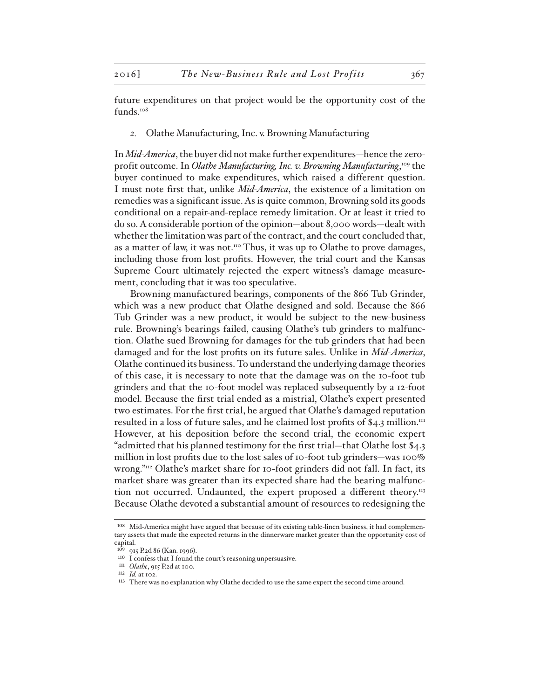future expenditures on that project would be the opportunity cost of the funds.<sup>108</sup>

*2.* Olathe Manufacturing, Inc. v. Browning Manufacturing

In *Mid-America*, the buyer did not make further expenditures—hence the zeroprofit outcome. In *Olathe Manufacturing, Inc. v. Browning Manufacturing*, 109 the buyer continued to make expenditures, which raised a different question. I must note first that, unlike *Mid-America*, the existence of a limitation on remedies was a significant issue. As is quite common, Browning sold its goods conditional on a repair-and-replace remedy limitation. Or at least it tried to do so. A considerable portion of the opinion—about 8,000 words—dealt with whether the limitation was part of the contract, and the court concluded that, as a matter of law, it was not.<sup>110</sup> Thus, it was up to Olathe to prove damages, including those from lost profits. However, the trial court and the Kansas Supreme Court ultimately rejected the expert witness's damage measurement, concluding that it was too speculative.

Browning manufactured bearings, components of the 866 Tub Grinder, which was a new product that Olathe designed and sold. Because the 866 Tub Grinder was a new product, it would be subject to the new-business rule. Browning's bearings failed, causing Olathe's tub grinders to malfunction. Olathe sued Browning for damages for the tub grinders that had been damaged and for the lost profits on its future sales. Unlike in *Mid-America*, Olathe continued its business. To understand the underlying damage theories of this case, it is necessary to note that the damage was on the 10-foot tub grinders and that the 10-foot model was replaced subsequently by a 12-foot model. Because the first trial ended as a mistrial, Olathe's expert presented two estimates. For the first trial, he argued that Olathe's damaged reputation resulted in a loss of future sales, and he claimed lost profits of \$4.3 million.<sup>111</sup> However, at his deposition before the second trial, the economic expert "admitted that his planned testimony for the first trial—that Olathe lost \$4.3 million in lost profits due to the lost sales of 10-foot tub grinders—was 100% wrong."112 Olathe's market share for 10-foot grinders did not fall. In fact, its market share was greater than its expected share had the bearing malfunction not occurred. Undaunted, the expert proposed a different theory.<sup>113</sup> Because Olathe devoted a substantial amount of resources to redesigning the

<sup>108</sup> Mid-America might have argued that because of its existing table-linen business, it had complementary assets that made the expected returns in the dinnerware market greater than the opportunity cost of capital.

<sup>109</sup> 915 P.2d 86 (Kan. 1996).

<sup>&</sup>lt;sup>110</sup> I confess that I found the court's reasoning unpersuasive.

<sup>111</sup> *Olathe*, 915 P.2d at 100.

<sup>112</sup> *Id.* at 102.

<sup>&</sup>lt;sup>113</sup> There was no explanation why Olathe decided to use the same expert the second time around.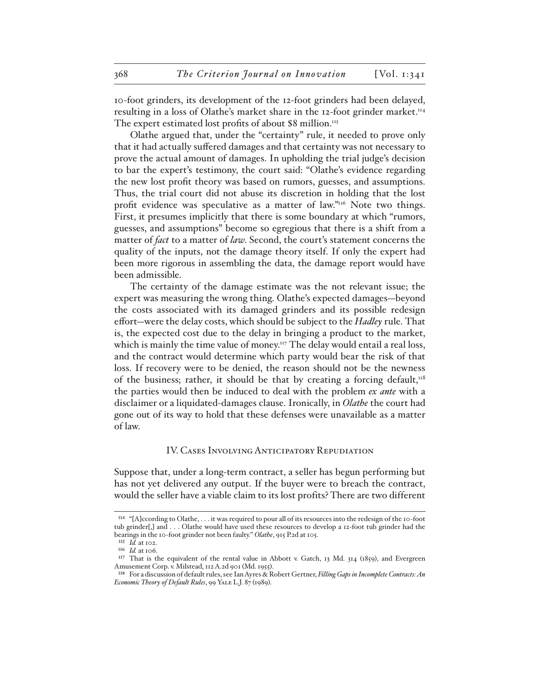10-foot grinders, its development of the 12-foot grinders had been delayed, resulting in a loss of Olathe's market share in the 12-foot grinder market.<sup>114</sup> The expert estimated lost profits of about \$8 million.<sup>115</sup>

Olathe argued that, under the "certainty" rule, it needed to prove only that it had actually suffered damages and that certainty was not necessary to prove the actual amount of damages. In upholding the trial judge's decision to bar the expert's testimony, the court said: "Olathe's evidence regarding the new lost profit theory was based on rumors, guesses, and assumptions. Thus, the trial court did not abuse its discretion in holding that the lost profit evidence was speculative as a matter of law."<sup>116</sup> Note two things. First, it presumes implicitly that there is some boundary at which "rumors, guesses, and assumptions" become so egregious that there is a shift from a matter of *fact* to a matter of *law*. Second, the court's statement concerns the quality of the inputs, not the damage theory itself. If only the expert had been more rigorous in assembling the data, the damage report would have been admissible.

The certainty of the damage estimate was the not relevant issue; the expert was measuring the wrong thing. Olathe's expected damages—beyond the costs associated with its damaged grinders and its possible redesign effort—were the delay costs, which should be subject to the *Hadley* rule. That is, the expected cost due to the delay in bringing a product to the market, which is mainly the time value of money.<sup>117</sup> The delay would entail a real loss, and the contract would determine which party would bear the risk of that loss. If recovery were to be denied, the reason should not be the newness of the business; rather, it should be that by creating a forcing default, $118$ the parties would then be induced to deal with the problem *ex ante* with a disclaimer or a liquidated-damages clause. Ironically, in *Olathe* the court had gone out of its way to hold that these defenses were unavailable as a matter of law.

## IV. Cases Involving Anticipatory Repudiation

Suppose that, under a long-term contract, a seller has begun performing but has not yet delivered any output. If the buyer were to breach the contract, would the seller have a viable claim to its lost profits? There are two different

<sup>114</sup> "[A]ccording to Olathe, . . . it was required to pour all of its resources into the redesign of the 10-foot tub grinder[,] and . . . Olathe would have used these resources to develop a 12-foot tub grinder had the bearings in the 10-foot grinder not been faulty." *Olathe*, 915 P.2d at 105.

<sup>115</sup> *Id.* at 102.

<sup>116</sup> *Id.* at 106.

<sup>117</sup> That is the equivalent of the rental value in Abbott v. Gatch, 13 Md. 314 (1859), and Evergreen Amusement Corp. v. Milstead, 112 A.2d 901 (Md. 1955).

<sup>118</sup> For a discussion of default rules, see Ian Ayres & Robert Gertner, *Filling Gaps in Incomplete Contracts: An Economic Theory of Default Rules*, 99 Yale L.J. 87 (1989).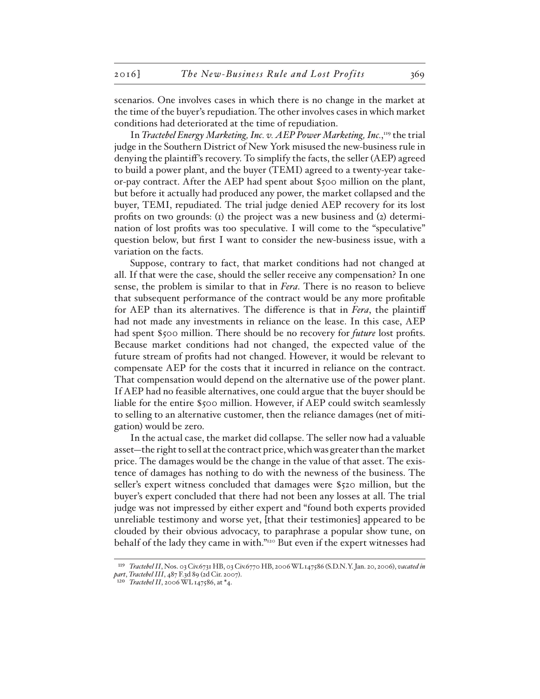scenarios. One involves cases in which there is no change in the market at the time of the buyer's repudiation. The other involves cases in which market conditions had deteriorated at the time of repudiation.

In *Tractebel Energy Marketing, Inc. v. AEP Power Marketing, Inc.*, 119 the trial judge in the Southern District of New York misused the new-business rule in denying the plaintiff's recovery. To simplify the facts, the seller (AEP) agreed to build a power plant, and the buyer (TEMI) agreed to a twenty-year takeor-pay contract. After the AEP had spent about \$500 million on the plant, but before it actually had produced any power, the market collapsed and the buyer, TEMI, repudiated. The trial judge denied AEP recovery for its lost profits on two grounds: (1) the project was a new business and (2) determination of lost profits was too speculative. I will come to the "speculative" question below, but first I want to consider the new-business issue, with a variation on the facts.

Suppose, contrary to fact, that market conditions had not changed at all. If that were the case, should the seller receive any compensation? In one sense, the problem is similar to that in *Fera*. There is no reason to believe that subsequent performance of the contract would be any more profitable for AEP than its alternatives. The difference is that in *Fera*, the plaintiff had not made any investments in reliance on the lease. In this case, AEP had spent \$500 million. There should be no recovery for *future* lost profits. Because market conditions had not changed, the expected value of the future stream of profits had not changed. However, it would be relevant to compensate AEP for the costs that it incurred in reliance on the contract. That compensation would depend on the alternative use of the power plant. If AEP had no feasible alternatives, one could argue that the buyer should be liable for the entire \$500 million. However, if AEP could switch seamlessly to selling to an alternative customer, then the reliance damages (net of mitigation) would be zero.

In the actual case, the market did collapse. The seller now had a valuable asset—the right to sell at the contract price, which was greater than the market price. The damages would be the change in the value of that asset. The existence of damages has nothing to do with the newness of the business. The seller's expert witness concluded that damages were \$520 million, but the buyer's expert concluded that there had not been any losses at all. The trial judge was not impressed by either expert and "found both experts provided unreliable testimony and worse yet, [that their testimonies] appeared to be clouded by their obvious advocacy, to paraphrase a popular show tune, on behalf of the lady they came in with."120 But even if the expert witnesses had

<sup>119</sup> *Tractebel II*, Nos. 03 Civ.6731 HB, 03 Civ.6770 HB, 2006 WL 147586 (S.D.N.Y. Jan. 20, 2006), *vacated in part*, *Tractebel III*, 487 F.3d 89 (2d Cir. 2007).

<sup>120</sup> *Tractebel II*, 2006 WL 147586, at \*4.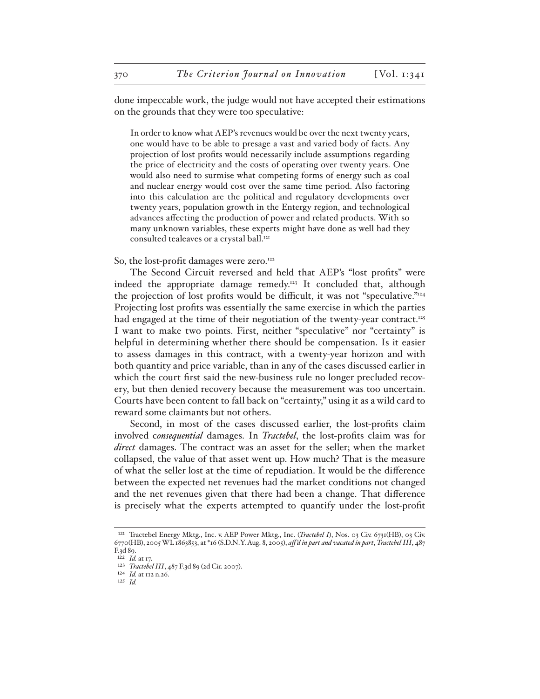done impeccable work, the judge would not have accepted their estimations on the grounds that they were too speculative:

In order to know what AEP's revenues would be over the next twenty years, one would have to be able to presage a vast and varied body of facts. Any projection of lost profits would necessarily include assumptions regarding the price of electricity and the costs of operating over twenty years. One would also need to surmise what competing forms of energy such as coal and nuclear energy would cost over the same time period. Also factoring into this calculation are the political and regulatory developments over twenty years, population growth in the Entergy region, and technological advances affecting the production of power and related products. With so many unknown variables, these experts might have done as well had they consulted tealeaves or a crystal ball.<sup>121</sup>

So, the lost-profit damages were zero.<sup>122</sup>

The Second Circuit reversed and held that AEP's "lost profits" were indeed the appropriate damage remedy.<sup>123</sup> It concluded that, although the projection of lost profits would be difficult, it was not "speculative."124 Projecting lost profits was essentially the same exercise in which the parties had engaged at the time of their negotiation of the twenty-year contract.<sup>125</sup> I want to make two points. First, neither "speculative" nor "certainty" is helpful in determining whether there should be compensation. Is it easier to assess damages in this contract, with a twenty-year horizon and with both quantity and price variable, than in any of the cases discussed earlier in which the court first said the new-business rule no longer precluded recovery, but then denied recovery because the measurement was too uncertain. Courts have been content to fall back on "certainty," using it as a wild card to reward some claimants but not others.

Second, in most of the cases discussed earlier, the lost-profits claim involved c*onsequential* damages. In *Tractebel*, the lost-profits claim was for *direct* damages. The contract was an asset for the seller; when the market collapsed, the value of that asset went up. How much? That is the measure of what the seller lost at the time of repudiation. It would be the difference between the expected net revenues had the market conditions not changed and the net revenues given that there had been a change. That difference is precisely what the experts attempted to quantify under the lost-profit

<sup>121</sup> Tractebel Energy Mktg., Inc. v. AEP Power Mktg., Inc. (*Tractebel I*), Nos. 03 Civ. 6731(HB), 03 Civ. 6770(HB), 2005 WL 1863853, at \*16 (S.D.N.Y. Aug. 8, 2005), *aff 'd in part and vacated in part*, *Tractebel III*, 487 F.3d 89.

<sup>122</sup> *Id.* at 17.

<sup>123</sup> *Tractebel III*, 487 F.3d 89 (2d Cir. 2007).

<sup>124</sup> *Id.* at 112 n.26.

<sup>125</sup> *Id.*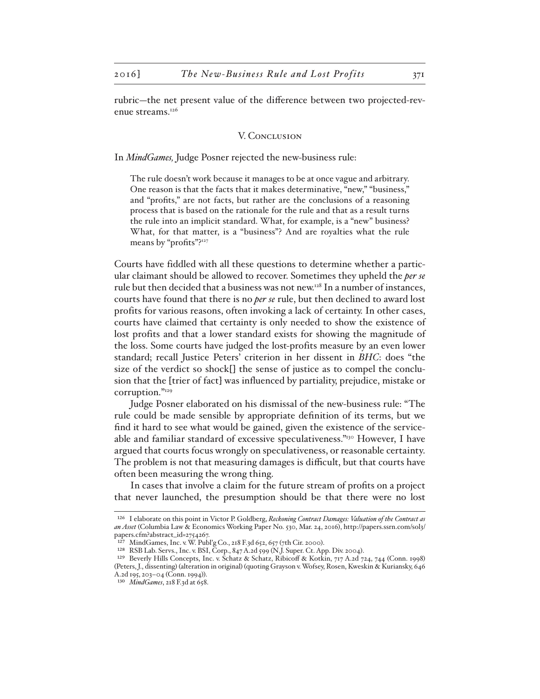rubric—the net present value of the difference between two projected-revenue streams.126

### V. CONCLUSION

#### In *MindGames,* Judge Posner rejected the new-business rule:

The rule doesn't work because it manages to be at once vague and arbitrary. One reason is that the facts that it makes determinative, "new," "business," and "profits," are not facts, but rather are the conclusions of a reasoning process that is based on the rationale for the rule and that as a result turns the rule into an implicit standard. What, for example, is a "new" business? What, for that matter, is a "business"? And are royalties what the rule means by "profits"?127

Courts have fiddled with all these questions to determine whether a particular claimant should be allowed to recover. Sometimes they upheld the *per se* rule but then decided that a business was not new.128 In a number of instances, courts have found that there is no *per se* rule, but then declined to award lost profits for various reasons, often invoking a lack of certainty. In other cases, courts have claimed that certainty is only needed to show the existence of lost profits and that a lower standard exists for showing the magnitude of the loss. Some courts have judged the lost-profits measure by an even lower standard; recall Justice Peters' criterion in her dissent in *BHC*: does "the size of the verdict so shock[] the sense of justice as to compel the conclusion that the [trier of fact] was influenced by partiality, prejudice, mistake or corruption."129

Judge Posner elaborated on his dismissal of the new-business rule: "The rule could be made sensible by appropriate definition of its terms, but we find it hard to see what would be gained, given the existence of the serviceable and familiar standard of excessive speculativeness."130 However, I have argued that courts focus wrongly on speculativeness, or reasonable certainty. The problem is not that measuring damages is difficult, but that courts have often been measuring the wrong thing.

In cases that involve a claim for the future stream of profits on a project that never launched, the presumption should be that there were no lost

<sup>126</sup> I elaborate on this point in Victor P. Goldberg, *Reckoning Contract Damages: Valuation of the Contract as an Asset* (Columbia Law & Economics Working Paper No. 530, Mar. 24, 2016), http://papers.ssrn.com/sol3/ papers.cfm?abstract\_id=2754267.

<sup>127</sup> MindGames, Inc. v. W. Publ'g Co., 218 F.3d 652, 657 (7th Cir. 2000).

<sup>128</sup> RSB Lab. Servs., Inc. v. BSI, Corp., 847 A.2d 599 (N.J. Super. Ct. App. Div. 2004).

<sup>129</sup> Beverly Hills Concepts, Inc. v. Schatz & Schatz, Ribicoff & Kotkin, 717 A.2d 724, 744 (Conn. 1998) (Peters, J., dissenting) (alteration in original) (quoting Grayson v. Wofsey, Rosen, Kweskin & Kuriansky, 646 A.2d 195, 203–04 (Conn. 1994)).

<sup>130</sup> *MindGames*, 218 F.3d at 658.